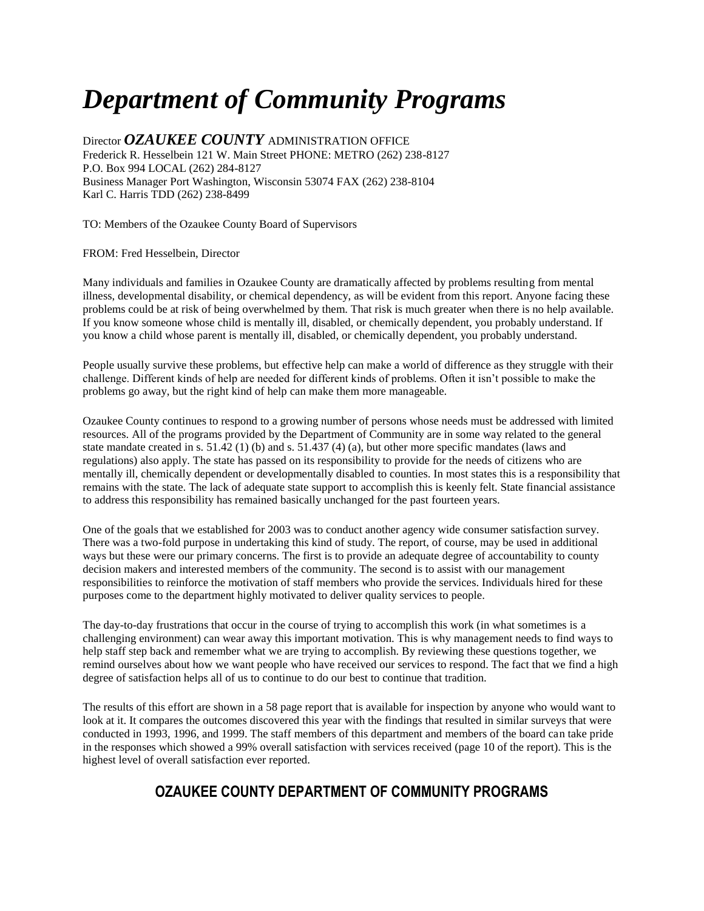# *Department of Community Programs*

Director *OZAUKEE COUNTY* ADMINISTRATION OFFICE Frederick R. Hesselbein 121 W. Main Street PHONE: METRO (262) 238-8127 P.O. Box 994 LOCAL (262) 284-8127 Business Manager Port Washington, Wisconsin 53074 FAX (262) 238-8104 Karl C. Harris TDD (262) 238-8499

TO: Members of the Ozaukee County Board of Supervisors

FROM: Fred Hesselbein, Director

Many individuals and families in Ozaukee County are dramatically affected by problems resulting from mental illness, developmental disability, or chemical dependency, as will be evident from this report. Anyone facing these problems could be at risk of being overwhelmed by them. That risk is much greater when there is no help available. If you know someone whose child is mentally ill, disabled, or chemically dependent, you probably understand. If you know a child whose parent is mentally ill, disabled, or chemically dependent, you probably understand.

People usually survive these problems, but effective help can make a world of difference as they struggle with their challenge. Different kinds of help are needed for different kinds of problems. Often it isn't possible to make the problems go away, but the right kind of help can make them more manageable.

Ozaukee County continues to respond to a growing number of persons whose needs must be addressed with limited resources. All of the programs provided by the Department of Community are in some way related to the general state mandate created in s. 51.42 (1) (b) and s. 51.437 (4) (a), but other more specific mandates (laws and regulations) also apply. The state has passed on its responsibility to provide for the needs of citizens who are mentally ill, chemically dependent or developmentally disabled to counties. In most states this is a responsibility that remains with the state. The lack of adequate state support to accomplish this is keenly felt. State financial assistance to address this responsibility has remained basically unchanged for the past fourteen years.

One of the goals that we established for 2003 was to conduct another agency wide consumer satisfaction survey. There was a two-fold purpose in undertaking this kind of study. The report, of course, may be used in additional ways but these were our primary concerns. The first is to provide an adequate degree of accountability to county decision makers and interested members of the community. The second is to assist with our management responsibilities to reinforce the motivation of staff members who provide the services. Individuals hired for these purposes come to the department highly motivated to deliver quality services to people.

The day-to-day frustrations that occur in the course of trying to accomplish this work (in what sometimes is a challenging environment) can wear away this important motivation. This is why management needs to find ways to help staff step back and remember what we are trying to accomplish. By reviewing these questions together, we remind ourselves about how we want people who have received our services to respond. The fact that we find a high degree of satisfaction helps all of us to continue to do our best to continue that tradition.

The results of this effort are shown in a 58 page report that is available for inspection by anyone who would want to look at it. It compares the outcomes discovered this year with the findings that resulted in similar surveys that were conducted in 1993, 1996, and 1999. The staff members of this department and members of the board can take pride in the responses which showed a 99% overall satisfaction with services received (page 10 of the report). This is the highest level of overall satisfaction ever reported.

## **OZAUKEE COUNTY DEPARTMENT OF COMMUNITY PROGRAMS**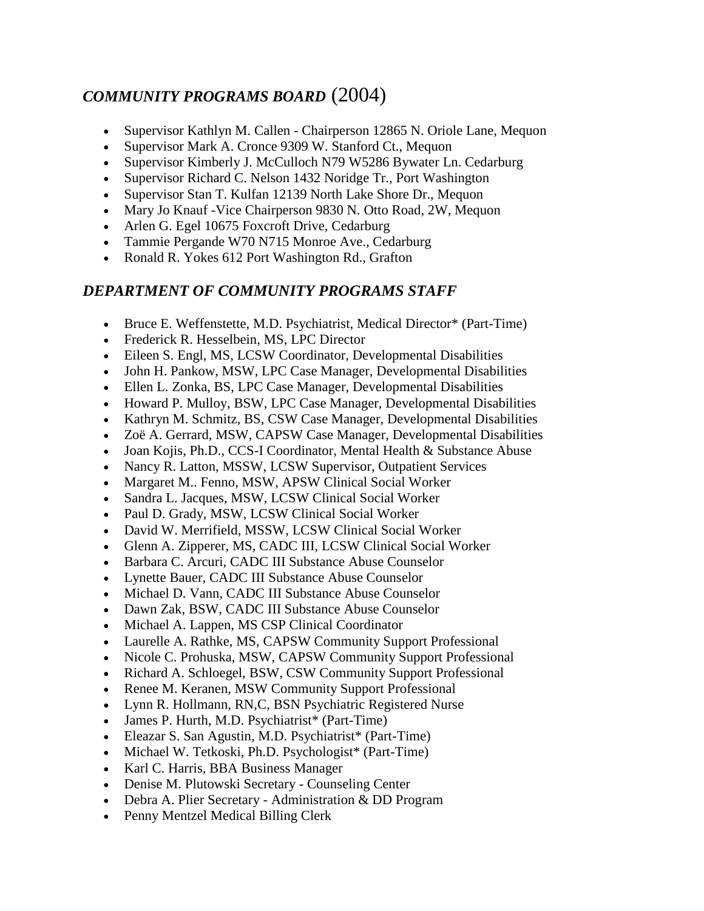## *COMMUNITY PROGRAMS BOARD* (2004)

- Supervisor Kathlyn M. Callen Chairperson 12865 N. Oriole Lane, Mequon
- Supervisor Mark A. Cronce 9309 W. Stanford Ct., Mequon
- Supervisor Kimberly J. McCulloch N79 W5286 Bywater Ln. Cedarburg
- Supervisor Richard C. Nelson 1432 Noridge Tr., Port Washington
- Supervisor Stan T. Kulfan 12139 North Lake Shore Dr., Mequon
- Mary Jo Knauf Vice Chairperson 9830 N. Otto Road, 2W, Mequon
- Arlen G. Egel 10675 Foxcroft Drive, Cedarburg
- Tammie Pergande W70 N715 Monroe Ave., Cedarburg
- Ronald R. Yokes 612 Port Washington Rd., Grafton

## *DEPARTMENT OF COMMUNITY PROGRAMS STAFF*

- Bruce E. Weffenstette, M.D. Psychiatrist, Medical Director\* (Part-Time)
- Frederick R. Hesselbein, MS, LPC Director
- Eileen S. Engl, MS, LCSW Coordinator, Developmental Disabilities
- John H. Pankow, MSW, LPC Case Manager, Developmental Disabilities
- Ellen L. Zonka, BS, LPC Case Manager, Developmental Disabilities
- Howard P. Mulloy, BSW, LPC Case Manager, Developmental Disabilities
- Kathryn M. Schmitz, BS, CSW Case Manager, Developmental Disabilities
- Zoë A. Gerrard, MSW, CAPSW Case Manager, Developmental Disabilities
- Joan Kojis, Ph.D., CCS-I Coordinator, Mental Health & Substance Abuse
- Nancy R. Latton, MSSW, LCSW Supervisor, Outpatient Services
- Margaret M.. Fenno, MSW, APSW Clinical Social Worker
- Sandra L. Jacques, MSW, LCSW Clinical Social Worker
- Paul D. Grady, MSW, LCSW Clinical Social Worker
- David W. Merrifield, MSSW, LCSW Clinical Social Worker
- Glenn A. Zipperer, MS, CADC III, LCSW Clinical Social Worker
- Barbara C. Arcuri, CADC III Substance Abuse Counselor
- Lynette Bauer, CADC III Substance Abuse Counselor
- Michael D. Vann, CADC III Substance Abuse Counselor
- Dawn Zak, BSW, CADC III Substance Abuse Counselor
- Michael A. Lappen, MS CSP Clinical Coordinator
- Laurelle A. Rathke, MS, CAPSW Community Support Professional
- Nicole C. Prohuska, MSW, CAPSW Community Support Professional
- Richard A. Schloegel, BSW, CSW Community Support Professional
- Renee M. Keranen, MSW Community Support Professional
- Lynn R. Hollmann, RN,C, BSN Psychiatric Registered Nurse
- James P. Hurth, M.D. Psychiatrist\* (Part-Time)
- Eleazar S. San Agustin, M.D. Psychiatrist\* (Part-Time)
- Michael W. Tetkoski, Ph.D. Psychologist\* (Part-Time)
- Karl C. Harris, BBA Business Manager
- Denise M. Plutowski Secretary Counseling Center
- Debra A. Plier Secretary Administration & DD Program
- Penny Mentzel Medical Billing Clerk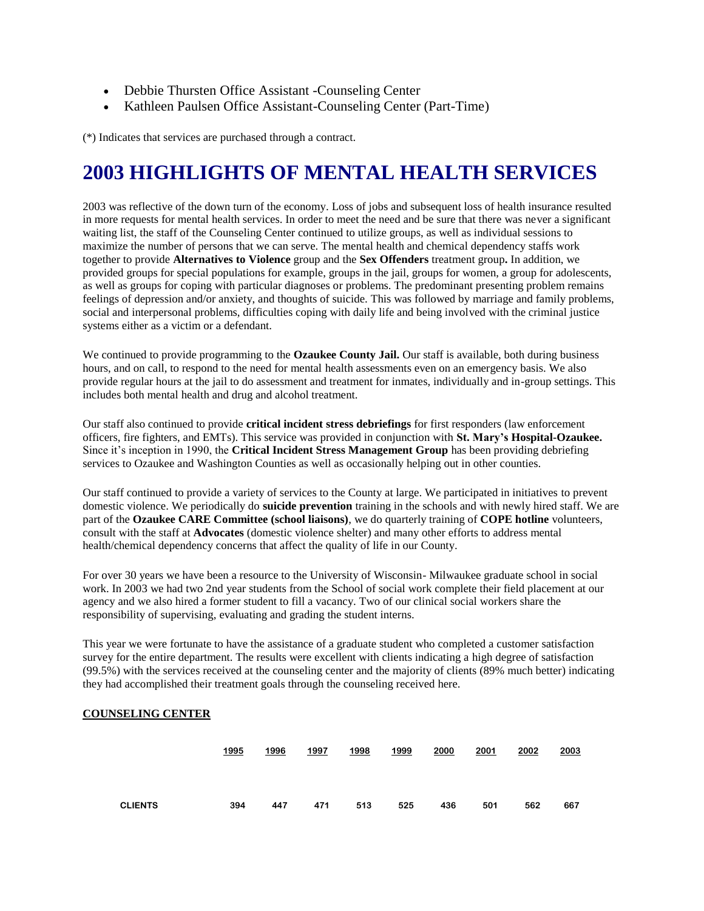- Debbie Thursten Office Assistant -Counseling Center
- Kathleen Paulsen Office Assistant-Counseling Center (Part-Time)

(\*) Indicates that services are purchased through a contract.

## **2003 HIGHLIGHTS OF MENTAL HEALTH SERVICES**

2003 was reflective of the down turn of the economy. Loss of jobs and subsequent loss of health insurance resulted in more requests for mental health services. In order to meet the need and be sure that there was never a significant waiting list, the staff of the Counseling Center continued to utilize groups, as well as individual sessions to maximize the number of persons that we can serve. The mental health and chemical dependency staffs work together to provide **Alternatives to Violence** group and the **Sex Offenders** treatment group**.** In addition, we provided groups for special populations for example, groups in the jail, groups for women, a group for adolescents, as well as groups for coping with particular diagnoses or problems. The predominant presenting problem remains feelings of depression and/or anxiety, and thoughts of suicide. This was followed by marriage and family problems, social and interpersonal problems, difficulties coping with daily life and being involved with the criminal justice systems either as a victim or a defendant.

We continued to provide programming to the **Ozaukee County Jail.** Our staff is available, both during business hours, and on call, to respond to the need for mental health assessments even on an emergency basis. We also provide regular hours at the jail to do assessment and treatment for inmates, individually and in-group settings. This includes both mental health and drug and alcohol treatment.

Our staff also continued to provide **critical incident stress debriefings** for first responders (law enforcement officers, fire fighters, and EMTs). This service was provided in conjunction with **St. Mary's Hospital-Ozaukee.** Since it's inception in 1990, the **Critical Incident Stress Management Group** has been providing debriefing services to Ozaukee and Washington Counties as well as occasionally helping out in other counties.

Our staff continued to provide a variety of services to the County at large. We participated in initiatives to prevent domestic violence. We periodically do **suicide prevention** training in the schools and with newly hired staff. We are part of the **Ozaukee CARE Committee (school liaisons)**, we do quarterly training of **COPE hotline** volunteers, consult with the staff at **Advocates** (domestic violence shelter) and many other efforts to address mental health/chemical dependency concerns that affect the quality of life in our County.

For over 30 years we have been a resource to the University of Wisconsin- Milwaukee graduate school in social work. In 2003 we had two 2nd year students from the School of social work complete their field placement at our agency and we also hired a former student to fill a vacancy. Two of our clinical social workers share the responsibility of supervising, evaluating and grading the student interns.

This year we were fortunate to have the assistance of a graduate student who completed a customer satisfaction survey for the entire department. The results were excellent with clients indicating a high degree of satisfaction (99.5%) with the services received at the counseling center and the majority of clients (89% much better) indicating they had accomplished their treatment goals through the counseling received here.

### **COUNSELING CENTER**

|                | 1995 | 1996 | 1997 | 1998 | 1999 | 2000 | 2001 | 2002 | 2003 |
|----------------|------|------|------|------|------|------|------|------|------|
| <b>CLIENTS</b> | 394  | 447  | 471  | 513  | 525  | 436  | 501  | 562  | 667  |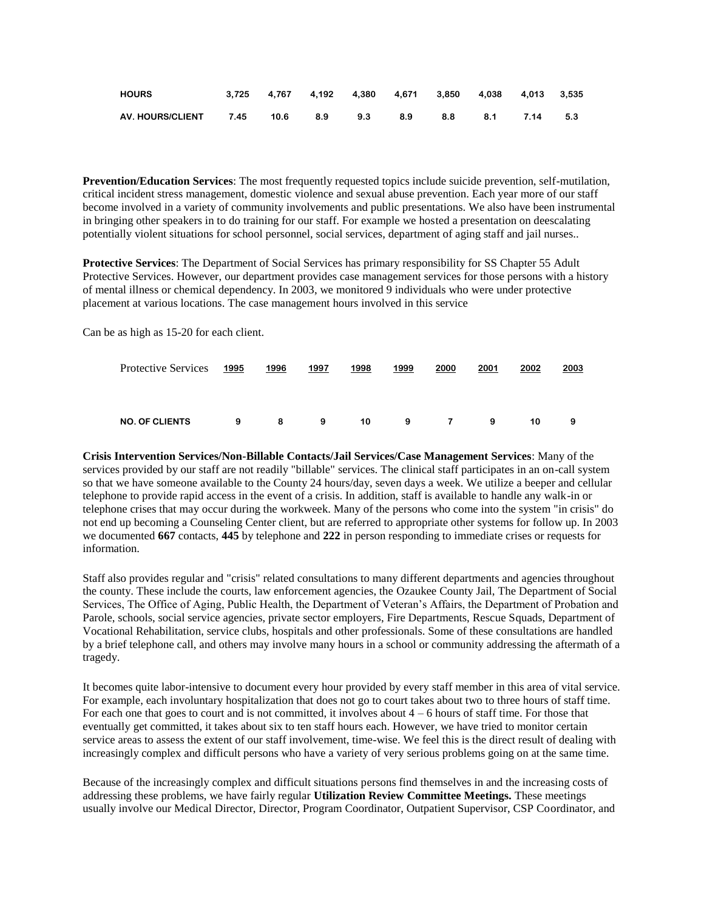| <b>HOURS</b>                                         |  | 3,725 4,767 4,192 4,380 4,671 3,850 4,038 4,013 3,535 |  |  |      |     |
|------------------------------------------------------|--|-------------------------------------------------------|--|--|------|-----|
| AV.HOURS/CLIENT  7.45  10.6  8.9  9.3  8.9  8.8  8.1 |  |                                                       |  |  | 7.14 | 5.3 |

**Prevention/Education Services**: The most frequently requested topics include suicide prevention, self-mutilation, critical incident stress management, domestic violence and sexual abuse prevention. Each year more of our staff become involved in a variety of community involvements and public presentations. We also have been instrumental in bringing other speakers in to do training for our staff. For example we hosted a presentation on deescalating potentially violent situations for school personnel, social services, department of aging staff and jail nurses..

**Protective Services**: The Department of Social Services has primary responsibility for SS Chapter 55 Adult Protective Services. However, our department provides case management services for those persons with a history of mental illness or chemical dependency. In 2003, we monitored 9 individuals who were under protective placement at various locations. The case management hours involved in this service

Can be as high as 15-20 for each client.

| <b>Protective Services</b> | 1995 | 1996 | 1997 | 1998 | 1999 | 2000     | 2001 | 2002 | 2003 |
|----------------------------|------|------|------|------|------|----------|------|------|------|
|                            |      |      |      |      |      |          |      |      |      |
| <b>NO. OF CLIENTS</b>      | 9    | 8    | 9    | 10   | 9    | <b>7</b> | 9    | 10   | 9    |

**Crisis Intervention Services/Non-Billable Contacts/Jail Services/Case Management Services**: Many of the services provided by our staff are not readily "billable" services. The clinical staff participates in an on-call system so that we have someone available to the County 24 hours/day, seven days a week. We utilize a beeper and cellular telephone to provide rapid access in the event of a crisis. In addition, staff is available to handle any walk-in or telephone crises that may occur during the workweek. Many of the persons who come into the system "in crisis" do not end up becoming a Counseling Center client, but are referred to appropriate other systems for follow up. In 2003 we documented **667** contacts, **445** by telephone and **222** in person responding to immediate crises or requests for information.

Staff also provides regular and "crisis" related consultations to many different departments and agencies throughout the county. These include the courts, law enforcement agencies, the Ozaukee County Jail, The Department of Social Services, The Office of Aging, Public Health, the Department of Veteran's Affairs, the Department of Probation and Parole, schools, social service agencies, private sector employers, Fire Departments, Rescue Squads, Department of Vocational Rehabilitation, service clubs, hospitals and other professionals. Some of these consultations are handled by a brief telephone call, and others may involve many hours in a school or community addressing the aftermath of a tragedy.

It becomes quite labor-intensive to document every hour provided by every staff member in this area of vital service. For example, each involuntary hospitalization that does not go to court takes about two to three hours of staff time. For each one that goes to court and is not committed, it involves about  $4 - 6$  hours of staff time. For those that eventually get committed, it takes about six to ten staff hours each. However, we have tried to monitor certain service areas to assess the extent of our staff involvement, time-wise. We feel this is the direct result of dealing with increasingly complex and difficult persons who have a variety of very serious problems going on at the same time.

Because of the increasingly complex and difficult situations persons find themselves in and the increasing costs of addressing these problems, we have fairly regular **Utilization Review Committee Meetings.** These meetings usually involve our Medical Director, Director, Program Coordinator, Outpatient Supervisor, CSP Coordinator, and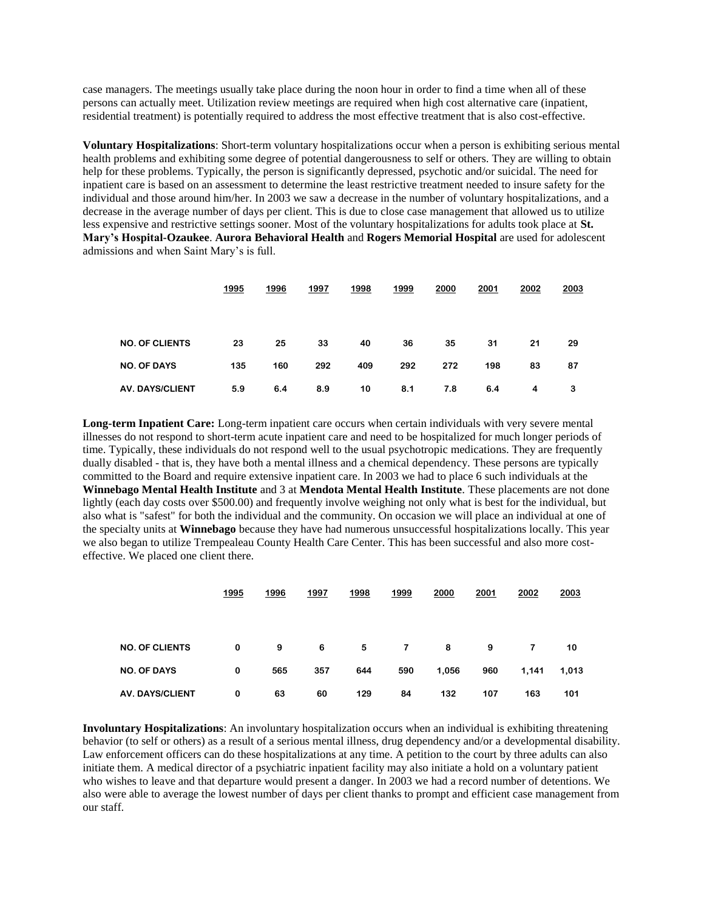case managers. The meetings usually take place during the noon hour in order to find a time when all of these persons can actually meet. Utilization review meetings are required when high cost alternative care (inpatient, residential treatment) is potentially required to address the most effective treatment that is also cost-effective.

**Voluntary Hospitalizations**: Short-term voluntary hospitalizations occur when a person is exhibiting serious mental health problems and exhibiting some degree of potential dangerousness to self or others. They are willing to obtain help for these problems. Typically, the person is significantly depressed, psychotic and/or suicidal. The need for inpatient care is based on an assessment to determine the least restrictive treatment needed to insure safety for the individual and those around him/her. In 2003 we saw a decrease in the number of voluntary hospitalizations, and a decrease in the average number of days per client. This is due to close case management that allowed us to utilize less expensive and restrictive settings sooner. Most of the voluntary hospitalizations for adults took place at **St. Mary's Hospital-Ozaukee**. **Aurora Behavioral Health** and **Rogers Memorial Hospital** are used for adolescent admissions and when Saint Mary's is full.

|                        | 1995 | 1996 | 1997 | 1998 | 1999 | 2000 | 2001 | 2002 | 2003 |
|------------------------|------|------|------|------|------|------|------|------|------|
|                        |      |      |      |      |      |      |      |      |      |
|                        |      |      |      |      |      |      |      |      |      |
| <b>NO. OF CLIENTS</b>  | 23   | 25   | 33   | 40   | 36   | 35   | 31   | 21   | 29   |
| <b>NO. OF DAYS</b>     | 135  | 160  | 292  | 409  | 292  | 272  | 198  | 83   | 87   |
| <b>AV. DAYS/CLIENT</b> | 5.9  | 6.4  | 8.9  | 10   | 8.1  | 7.8  | 6.4  | 4    | 3    |

**Long-term Inpatient Care:** Long-term inpatient care occurs when certain individuals with very severe mental illnesses do not respond to short-term acute inpatient care and need to be hospitalized for much longer periods of time. Typically, these individuals do not respond well to the usual psychotropic medications. They are frequently dually disabled - that is, they have both a mental illness and a chemical dependency. These persons are typically committed to the Board and require extensive inpatient care. In 2003 we had to place 6 such individuals at the **Winnebago Mental Health Institute** and 3 at **Mendota Mental Health Institute**. These placements are not done lightly (each day costs over \$500.00) and frequently involve weighing not only what is best for the individual, but also what is "safest" for both the individual and the community. On occasion we will place an individual at one of the specialty units at **Winnebago** because they have had numerous unsuccessful hospitalizations locally. This year we also began to utilize Trempealeau County Health Care Center. This has been successful and also more costeffective. We placed one client there.

|                        | 1995 | 1996 | 1997 | 1998 | 1999 | 2000  | 2001 | 2002  | 2003  |
|------------------------|------|------|------|------|------|-------|------|-------|-------|
|                        |      |      |      |      |      |       |      |       |       |
| <b>NO. OF CLIENTS</b>  | 0    | 9    | 6    | 5    | 7    | 8     | 9    | 7     | 10    |
| <b>NO. OF DAYS</b>     | 0    | 565  | 357  | 644  | 590  | 1,056 | 960  | 1,141 | 1,013 |
| <b>AV. DAYS/CLIENT</b> | 0    | 63   | 60   | 129  | 84   | 132   | 107  | 163   | 101   |

**Involuntary Hospitalizations**: An involuntary hospitalization occurs when an individual is exhibiting threatening behavior (to self or others) as a result of a serious mental illness, drug dependency and/or a developmental disability. Law enforcement officers can do these hospitalizations at any time. A petition to the court by three adults can also initiate them. A medical director of a psychiatric inpatient facility may also initiate a hold on a voluntary patient who wishes to leave and that departure would present a danger. In 2003 we had a record number of detentions. We also were able to average the lowest number of days per client thanks to prompt and efficient case management from our staff.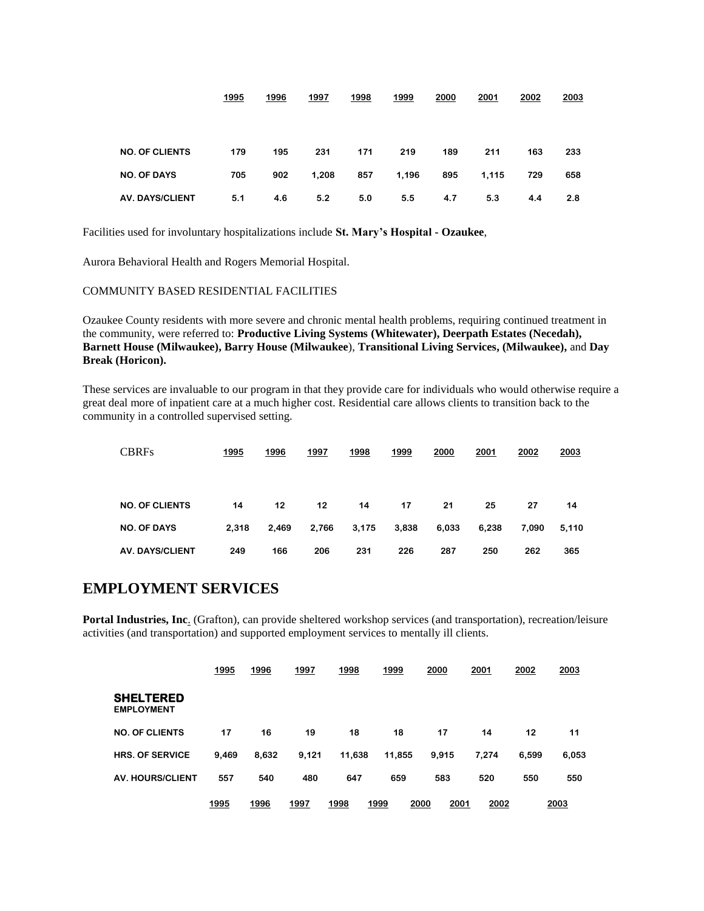|                        | 1995 | 1996 | 1997  | 1998 | 1999  | 2000 | 2001  | 2002 | 2003 |
|------------------------|------|------|-------|------|-------|------|-------|------|------|
|                        |      |      |       |      |       |      |       |      |      |
|                        |      |      |       |      |       |      |       |      |      |
| <b>NO. OF CLIENTS</b>  | 179  | 195  | 231   | 171  | 219   | 189  | 211   | 163  | 233  |
| <b>NO. OF DAYS</b>     | 705  | 902  | 1,208 | 857  | 1,196 | 895  | 1,115 | 729  | 658  |
| <b>AV. DAYS/CLIENT</b> | 5.1  | 4.6  | 5.2   | 5.0  | 5.5   | 4.7  | 5.3   | 4.4  | 2.8  |

Facilities used for involuntary hospitalizations include **St. Mary's Hospital - Ozaukee**,

Aurora Behavioral Health and Rogers Memorial Hospital.

COMMUNITY BASED RESIDENTIAL FACILITIES

Ozaukee County residents with more severe and chronic mental health problems, requiring continued treatment in the community, were referred to: **Productive Living Systems (Whitewater), Deerpath Estates (Necedah), Barnett House (Milwaukee), Barry House (Milwaukee**), **Transitional Living Services, (Milwaukee),** and **Day Break (Horicon).** 

These services are invaluable to our program in that they provide care for individuals who would otherwise require a great deal more of inpatient care at a much higher cost. Residential care allows clients to transition back to the community in a controlled supervised setting.

| <b>CBRFs</b>           | 1995  | 1996  | 1997  | 1998  | 1999  | 2000  | 2001  | 2002  | 2003  |
|------------------------|-------|-------|-------|-------|-------|-------|-------|-------|-------|
| <b>NO. OF CLIENTS</b>  | 14    | 12    | 12    | 14    | 17    | 21    | 25    | 27    | 14    |
| <b>NO. OF DAYS</b>     | 2,318 | 2,469 | 2,766 | 3,175 | 3,838 | 6,033 | 6,238 | 7.090 | 5,110 |
| <b>AV. DAYS/CLIENT</b> | 249   | 166   | 206   | 231   | 226   | 287   | 250   | 262   | 365   |

### **EMPLOYMENT SERVICES**

**Portal Industries, Inc**. (Grafton), can provide sheltered workshop services (and transportation), recreation/leisure activities (and transportation) and supported employment services to mentally ill clients.

|                                       | 1995  | 1996  | 1997  | 1998   | 1999   | 2000         | 2001  | 2002  | 2003  |
|---------------------------------------|-------|-------|-------|--------|--------|--------------|-------|-------|-------|
| <b>SHELTERED</b><br><b>EMPLOYMENT</b> |       |       |       |        |        |              |       |       |       |
| <b>NO. OF CLIENTS</b>                 | 17    | 16    | 19    | 18     | 18     | 17           | 14    | 12    | 11    |
| <b>HRS. OF SERVICE</b>                | 9.469 | 8,632 | 9,121 | 11,638 | 11,855 | 9,915        | 7,274 | 6.599 | 6,053 |
| <b>AV. HOURS/CLIENT</b>               | 557   | 540   | 480   | 647    | 659    | 583          | 520   | 550   | 550   |
|                                       | 1995  | 1996  | 1997  | 1998   | 1999   | 2000<br>2001 | 2002  |       | 2003  |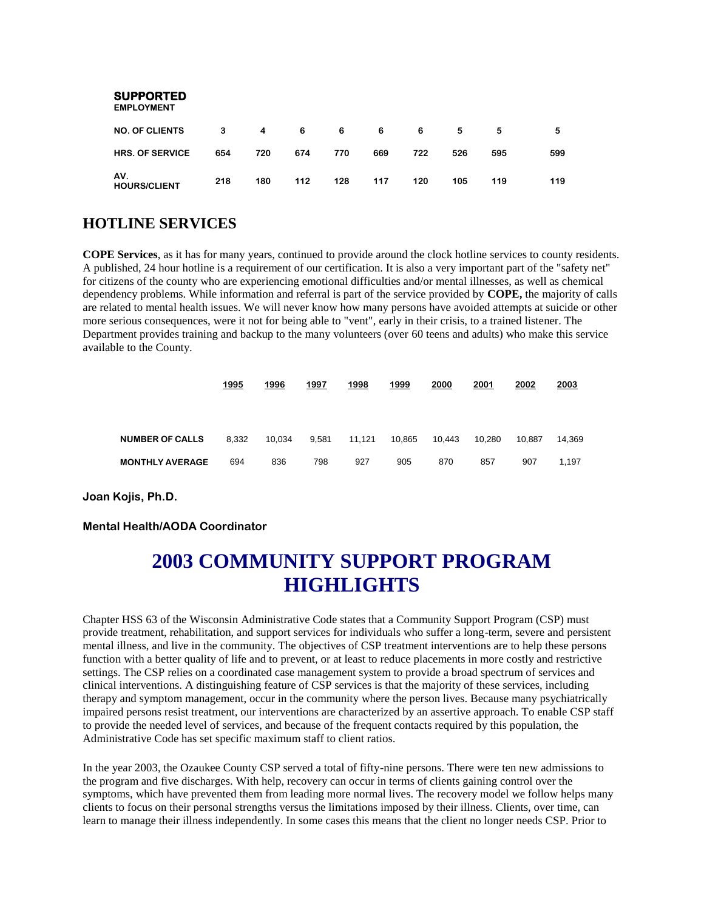| <b>SUPPORTED</b><br><b>EMPLOYMENT</b> |     |     |     |     |     |     |     |     |     |
|---------------------------------------|-----|-----|-----|-----|-----|-----|-----|-----|-----|
| <b>NO. OF CLIENTS</b>                 | 3   | 4   | 6   | 6   | 6   | 6   | 5   | 5   | 5   |
| <b>HRS. OF SERVICE</b>                | 654 | 720 | 674 | 770 | 669 | 722 | 526 | 595 | 599 |
| AV.<br><b>HOURS/CLIENT</b>            | 218 | 180 | 112 | 128 | 117 | 120 | 105 | 119 | 119 |

## **HOTLINE SERVICES**

**COPE Services**, as it has for many years, continued to provide around the clock hotline services to county residents. A published, 24 hour hotline is a requirement of our certification. It is also a very important part of the "safety net" for citizens of the county who are experiencing emotional difficulties and/or mental illnesses, as well as chemical dependency problems. While information and referral is part of the service provided by **COPE,** the majority of calls are related to mental health issues. We will never know how many persons have avoided attempts at suicide or other more serious consequences, were it not for being able to "vent", early in their crisis, to a trained listener. The Department provides training and backup to the many volunteers (over 60 teens and adults) who make this service available to the County.

|                        | 1995  | 1996   | 1997  | 1998   | 1999   | 2000   | 2001   | 2002   | 2003   |
|------------------------|-------|--------|-------|--------|--------|--------|--------|--------|--------|
|                        |       |        |       |        |        |        |        |        |        |
| <b>NUMBER OF CALLS</b> | 8,332 | 10.034 | 9,581 | 11.121 | 10.865 | 10.443 | 10.280 | 10.887 | 14.369 |
| <b>MONTHLY AVERAGE</b> | 694   | 836    | 798   | 927    | 905    | 870    | 857    | 907    | 1.197  |

**Joan Kojis, Ph.D.**

#### **Mental Health/AODA Coordinator**

## **2003 COMMUNITY SUPPORT PROGRAM HIGHLIGHTS**

Chapter HSS 63 of the Wisconsin Administrative Code states that a Community Support Program (CSP) must provide treatment, rehabilitation, and support services for individuals who suffer a long-term, severe and persistent mental illness, and live in the community. The objectives of CSP treatment interventions are to help these persons function with a better quality of life and to prevent, or at least to reduce placements in more costly and restrictive settings. The CSP relies on a coordinated case management system to provide a broad spectrum of services and clinical interventions. A distinguishing feature of CSP services is that the majority of these services, including therapy and symptom management, occur in the community where the person lives. Because many psychiatrically impaired persons resist treatment, our interventions are characterized by an assertive approach. To enable CSP staff to provide the needed level of services, and because of the frequent contacts required by this population, the Administrative Code has set specific maximum staff to client ratios.

In the year 2003, the Ozaukee County CSP served a total of fifty-nine persons. There were ten new admissions to the program and five discharges. With help, recovery can occur in terms of clients gaining control over the symptoms, which have prevented them from leading more normal lives. The recovery model we follow helps many clients to focus on their personal strengths versus the limitations imposed by their illness. Clients, over time, can learn to manage their illness independently. In some cases this means that the client no longer needs CSP. Prior to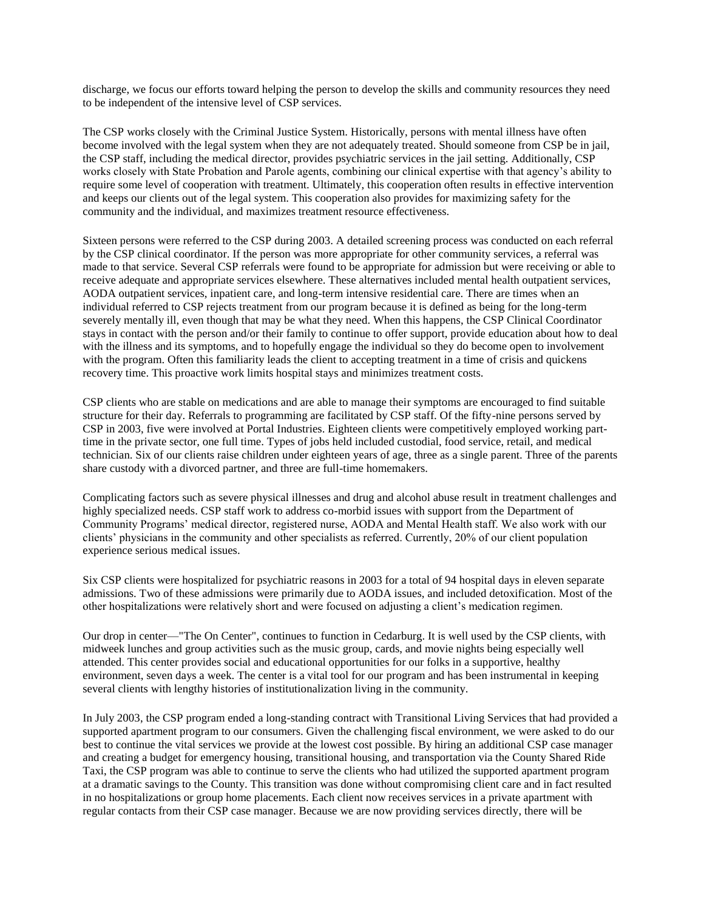discharge, we focus our efforts toward helping the person to develop the skills and community resources they need to be independent of the intensive level of CSP services.

The CSP works closely with the Criminal Justice System. Historically, persons with mental illness have often become involved with the legal system when they are not adequately treated. Should someone from CSP be in jail, the CSP staff, including the medical director, provides psychiatric services in the jail setting. Additionally, CSP works closely with State Probation and Parole agents, combining our clinical expertise with that agency's ability to require some level of cooperation with treatment. Ultimately, this cooperation often results in effective intervention and keeps our clients out of the legal system. This cooperation also provides for maximizing safety for the community and the individual, and maximizes treatment resource effectiveness.

Sixteen persons were referred to the CSP during 2003. A detailed screening process was conducted on each referral by the CSP clinical coordinator. If the person was more appropriate for other community services, a referral was made to that service. Several CSP referrals were found to be appropriate for admission but were receiving or able to receive adequate and appropriate services elsewhere. These alternatives included mental health outpatient services, AODA outpatient services, inpatient care, and long-term intensive residential care. There are times when an individual referred to CSP rejects treatment from our program because it is defined as being for the long-term severely mentally ill, even though that may be what they need. When this happens, the CSP Clinical Coordinator stays in contact with the person and/or their family to continue to offer support, provide education about how to deal with the illness and its symptoms, and to hopefully engage the individual so they do become open to involvement with the program. Often this familiarity leads the client to accepting treatment in a time of crisis and quickens recovery time. This proactive work limits hospital stays and minimizes treatment costs.

CSP clients who are stable on medications and are able to manage their symptoms are encouraged to find suitable structure for their day. Referrals to programming are facilitated by CSP staff. Of the fifty-nine persons served by CSP in 2003, five were involved at Portal Industries. Eighteen clients were competitively employed working parttime in the private sector, one full time. Types of jobs held included custodial, food service, retail, and medical technician. Six of our clients raise children under eighteen years of age, three as a single parent. Three of the parents share custody with a divorced partner, and three are full-time homemakers.

Complicating factors such as severe physical illnesses and drug and alcohol abuse result in treatment challenges and highly specialized needs. CSP staff work to address co-morbid issues with support from the Department of Community Programs' medical director, registered nurse, AODA and Mental Health staff. We also work with our clients' physicians in the community and other specialists as referred. Currently, 20% of our client population experience serious medical issues.

Six CSP clients were hospitalized for psychiatric reasons in 2003 for a total of 94 hospital days in eleven separate admissions. Two of these admissions were primarily due to AODA issues, and included detoxification. Most of the other hospitalizations were relatively short and were focused on adjusting a client's medication regimen.

Our drop in center—"The On Center", continues to function in Cedarburg. It is well used by the CSP clients, with midweek lunches and group activities such as the music group, cards, and movie nights being especially well attended. This center provides social and educational opportunities for our folks in a supportive, healthy environment, seven days a week. The center is a vital tool for our program and has been instrumental in keeping several clients with lengthy histories of institutionalization living in the community.

In July 2003, the CSP program ended a long-standing contract with Transitional Living Services that had provided a supported apartment program to our consumers. Given the challenging fiscal environment, we were asked to do our best to continue the vital services we provide at the lowest cost possible. By hiring an additional CSP case manager and creating a budget for emergency housing, transitional housing, and transportation via the County Shared Ride Taxi, the CSP program was able to continue to serve the clients who had utilized the supported apartment program at a dramatic savings to the County. This transition was done without compromising client care and in fact resulted in no hospitalizations or group home placements. Each client now receives services in a private apartment with regular contacts from their CSP case manager. Because we are now providing services directly, there will be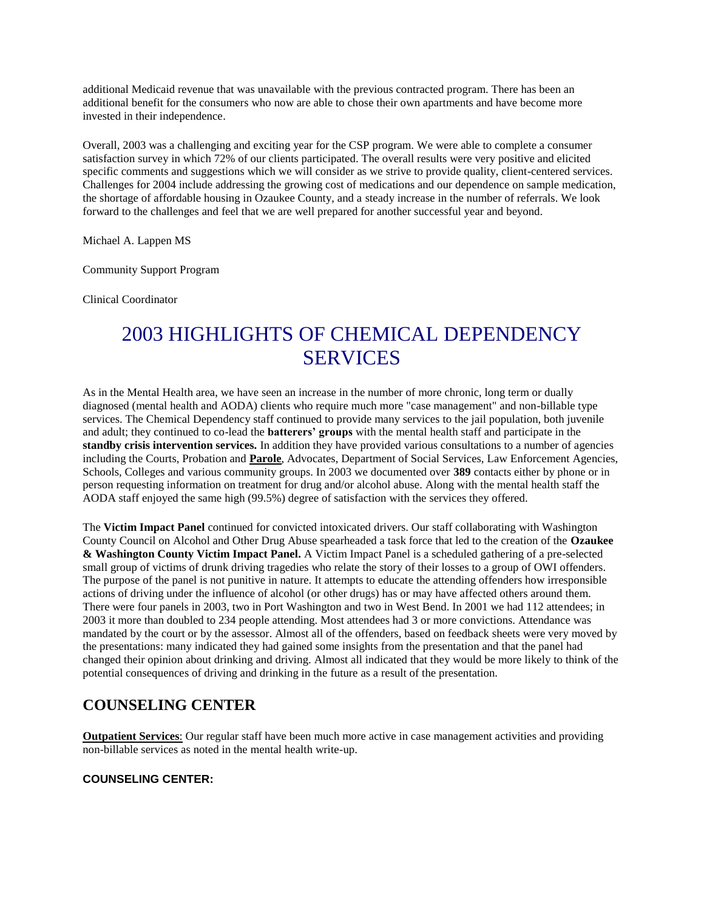additional Medicaid revenue that was unavailable with the previous contracted program. There has been an additional benefit for the consumers who now are able to chose their own apartments and have become more invested in their independence.

Overall, 2003 was a challenging and exciting year for the CSP program. We were able to complete a consumer satisfaction survey in which 72% of our clients participated. The overall results were very positive and elicited specific comments and suggestions which we will consider as we strive to provide quality, client-centered services. Challenges for 2004 include addressing the growing cost of medications and our dependence on sample medication, the shortage of affordable housing in Ozaukee County, and a steady increase in the number of referrals. We look forward to the challenges and feel that we are well prepared for another successful year and beyond.

Michael A. Lappen MS

Community Support Program

Clinical Coordinator

## 2003 HIGHLIGHTS OF CHEMICAL DEPENDENCY SERVICES

As in the Mental Health area, we have seen an increase in the number of more chronic, long term or dually diagnosed (mental health and AODA) clients who require much more "case management" and non-billable type services. The Chemical Dependency staff continued to provide many services to the jail population, both juvenile and adult; they continued to co-lead the **batterers' groups** with the mental health staff and participate in the **standby crisis intervention services.** In addition they have provided various consultations to a number of agencies including the Courts, Probation and **Parole**, Advocates, Department of Social Services, Law Enforcement Agencies, Schools, Colleges and various community groups. In 2003 we documented over **389** contacts either by phone or in person requesting information on treatment for drug and/or alcohol abuse. Along with the mental health staff the AODA staff enjoyed the same high (99.5%) degree of satisfaction with the services they offered.

The **Victim Impact Panel** continued for convicted intoxicated drivers. Our staff collaborating with Washington County Council on Alcohol and Other Drug Abuse spearheaded a task force that led to the creation of the **Ozaukee & Washington County Victim Impact Panel.** A Victim Impact Panel is a scheduled gathering of a pre-selected small group of victims of drunk driving tragedies who relate the story of their losses to a group of OWI offenders. The purpose of the panel is not punitive in nature. It attempts to educate the attending offenders how irresponsible actions of driving under the influence of alcohol (or other drugs) has or may have affected others around them. There were four panels in 2003, two in Port Washington and two in West Bend. In 2001 we had 112 attendees; in 2003 it more than doubled to 234 people attending. Most attendees had 3 or more convictions. Attendance was mandated by the court or by the assessor. Almost all of the offenders, based on feedback sheets were very moved by the presentations: many indicated they had gained some insights from the presentation and that the panel had changed their opinion about drinking and driving. Almost all indicated that they would be more likely to think of the potential consequences of driving and drinking in the future as a result of the presentation.

## **COUNSELING CENTER**

**Outpatient Services**: Our regular staff have been much more active in case management activities and providing non-billable services as noted in the mental health write-up.

#### **COUNSELING CENTER:**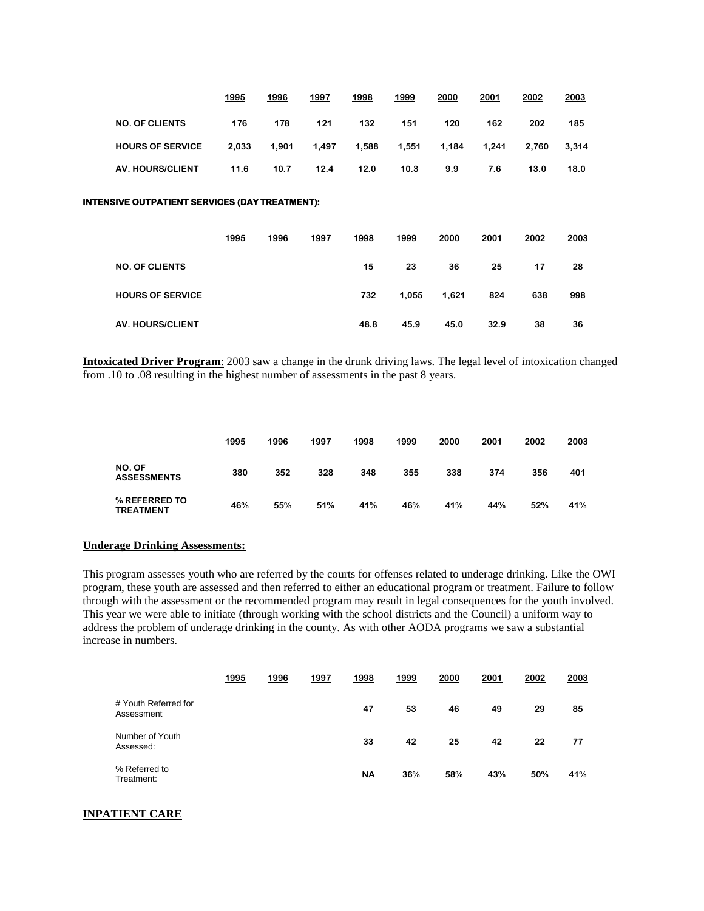|                         | 1995  | 1996  | 1997  | 1998  | 1999  | 2000  | 2001  | 2002  | 2003  |
|-------------------------|-------|-------|-------|-------|-------|-------|-------|-------|-------|
| <b>NO. OF CLIENTS</b>   | 176   | 178   | 121   | 132   | 151   | 120   | 162   | 202   | 185   |
| <b>HOURS OF SERVICE</b> | 2.033 | 1.901 | 1.497 | 1.588 | 1.551 | 1.184 | 1.241 | 2.760 | 3,314 |
| <b>AV. HOURS/CLIENT</b> | 11.6  | 10.7  | 12.4  | 12.0  | 10.3  | 9.9   | 7.6   | 13.0  | 18.0  |

#### **INTENSIVE OUTPATIENT SERVICES (DAY TREATMENT):**

|                         | 1995 | 1996 | 1997 | 1998 | 1999  | 2000  | 2001 | 2002 | 2003 |
|-------------------------|------|------|------|------|-------|-------|------|------|------|
| <b>NO. OF CLIENTS</b>   |      |      |      | 15   | 23    | 36    | 25   | 17   | 28   |
| <b>HOURS OF SERVICE</b> |      |      |      | 732  | 1.055 | 1,621 | 824  | 638  | 998  |
| <b>AV. HOURS/CLIENT</b> |      |      |      | 48.8 | 45.9  | 45.0  | 32.9 | 38   | 36   |

**Intoxicated Driver Program**: 2003 saw a change in the drunk driving laws. The legal level of intoxication changed from .10 to .08 resulting in the highest number of assessments in the past 8 years.

|                                   | 1995 | 1996 | 1997 | 1998 | 1999 | 2000 | 2001 | 2002 | 2003 |
|-----------------------------------|------|------|------|------|------|------|------|------|------|
| NO. OF<br><b>ASSESSMENTS</b>      | 380  | 352  | 328  | 348  | 355  | 338  | 374  | 356  | 401  |
| % REFERRED TO<br><b>TREATMENT</b> | 46%  | 55%  | 51%  | 41%  | 46%  | 41%  | 44%  | 52%  | 41%  |

#### **Underage Drinking Assessments:**

This program assesses youth who are referred by the courts for offenses related to underage drinking. Like the OWI program, these youth are assessed and then referred to either an educational program or treatment. Failure to follow through with the assessment or the recommended program may result in legal consequences for the youth involved. This year we were able to initiate (through working with the school districts and the Council) a uniform way to address the problem of underage drinking in the county. As with other AODA programs we saw a substantial increase in numbers.

|                                    | 1995 | 1996 | 1997 | 1998      | 1999 | 2000 | 2001 | 2002 | 2003 |
|------------------------------------|------|------|------|-----------|------|------|------|------|------|
| # Youth Referred for<br>Assessment |      |      |      | 47        | 53   | 46   | 49   | 29   | 85   |
| Number of Youth<br>Assessed:       |      |      |      | 33        | 42   | 25   | 42   | 22   | 77   |
| % Referred to<br>Treatment:        |      |      |      | <b>NA</b> | 36%  | 58%  | 43%  | 50%  | 41%  |

#### **INPATIENT CARE**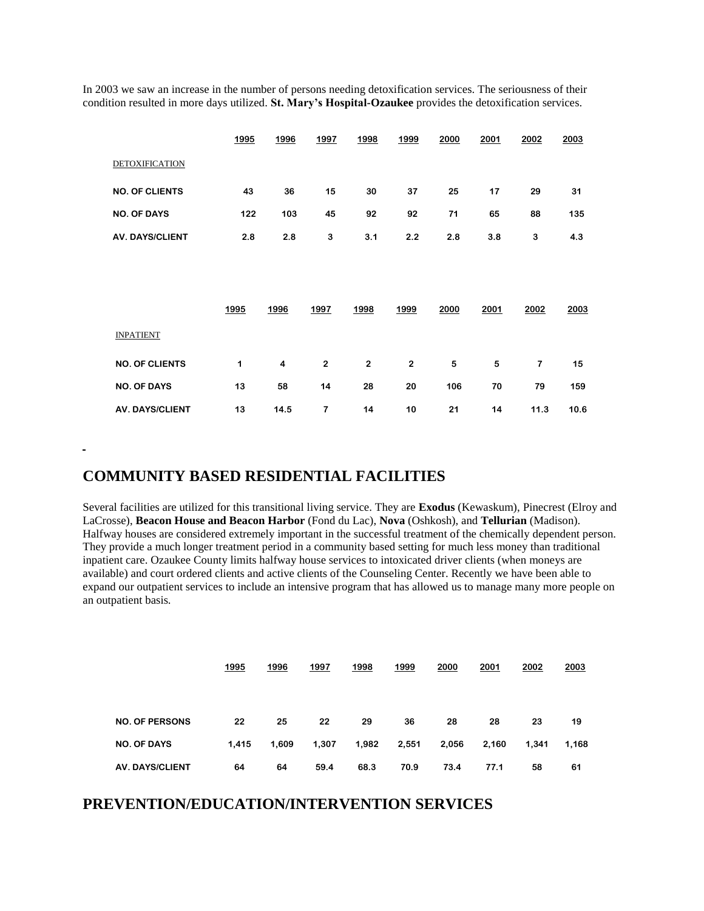In 2003 we saw an increase in the number of persons needing detoxification services. The seriousness of their condition resulted in more days utilized. **St. Mary's Hospital-Ozaukee** provides the detoxification services.

|                        | 1995 | 1996 | 1997         | 1998                    | 1999                    | 2000 | 2001 | 2002           | 2003 |
|------------------------|------|------|--------------|-------------------------|-------------------------|------|------|----------------|------|
| <b>DETOXIFICATION</b>  |      |      |              |                         |                         |      |      |                |      |
| <b>NO. OF CLIENTS</b>  | 43   | 36   | 15           | 30                      | 37                      | 25   | 17   | 29             | 31   |
| <b>NO. OF DAYS</b>     | 122  | 103  | 45           | 92                      | 92                      | 71   | 65   | 88             | 135  |
| <b>AV. DAYS/CLIENT</b> | 2.8  | 2.8  | 3            | 3.1                     | 2.2                     | 2.8  | 3.8  | 3              | 4.3  |
|                        |      |      |              |                         |                         |      |      |                |      |
|                        |      |      |              |                         |                         |      |      |                |      |
|                        | 1995 | 1996 | 1997         | 1998                    | 1999                    | 2000 | 2001 | 2002           | 2003 |
| <b>INPATIENT</b>       |      |      |              |                         |                         |      |      |                |      |
| <b>NO. OF CLIENTS</b>  | 1    | 4    | $\mathbf{2}$ | $\overline{\mathbf{2}}$ | $\overline{\mathbf{2}}$ | 5    | 5    | $\overline{7}$ | 15   |
| <b>NO. OF DAYS</b>     | 13   | 58   | 14           | 28                      | 20                      | 106  | 70   | 79             | 159  |
| <b>AV. DAYS/CLIENT</b> | 13   | 14.5 | 7            | 14                      | 10                      | 21   | 14   | 11.3           | 10.6 |

### **COMMUNITY BASED RESIDENTIAL FACILITIES**

Several facilities are utilized for this transitional living service. They are **Exodus** (Kewaskum), Pinecrest (Elroy and LaCrosse), **Beacon House and Beacon Harbor** (Fond du Lac), **Nova** (Oshkosh), and **Tellurian** (Madison). Halfway houses are considered extremely important in the successful treatment of the chemically dependent person. They provide a much longer treatment period in a community based setting for much less money than traditional inpatient care. Ozaukee County limits halfway house services to intoxicated driver clients (when moneys are available) and court ordered clients and active clients of the Counseling Center. Recently we have been able to expand our outpatient services to include an intensive program that has allowed us to manage many more people on an outpatient basis.

|                        | 1995  | 1996  | 1997  | 1998  | 1999  | 2000  | 2001  | 2002  | 2003  |
|------------------------|-------|-------|-------|-------|-------|-------|-------|-------|-------|
|                        |       |       |       |       |       |       |       |       |       |
|                        |       |       |       |       |       |       |       |       |       |
| <b>NO. OF PERSONS</b>  | 22    | 25    | 22    | 29    | 36    | 28    | 28    | 23    | 19    |
| <b>NO. OF DAYS</b>     | 1,415 | 1.609 | 1,307 | 1,982 | 2,551 | 2,056 | 2,160 | 1.341 | 1,168 |
| <b>AV. DAYS/CLIENT</b> | 64    | 64    | 59.4  | 68.3  | 70.9  | 73.4  | 77.1  | 58    | 61    |

### **PREVENTION/EDUCATION/INTERVENTION SERVICES**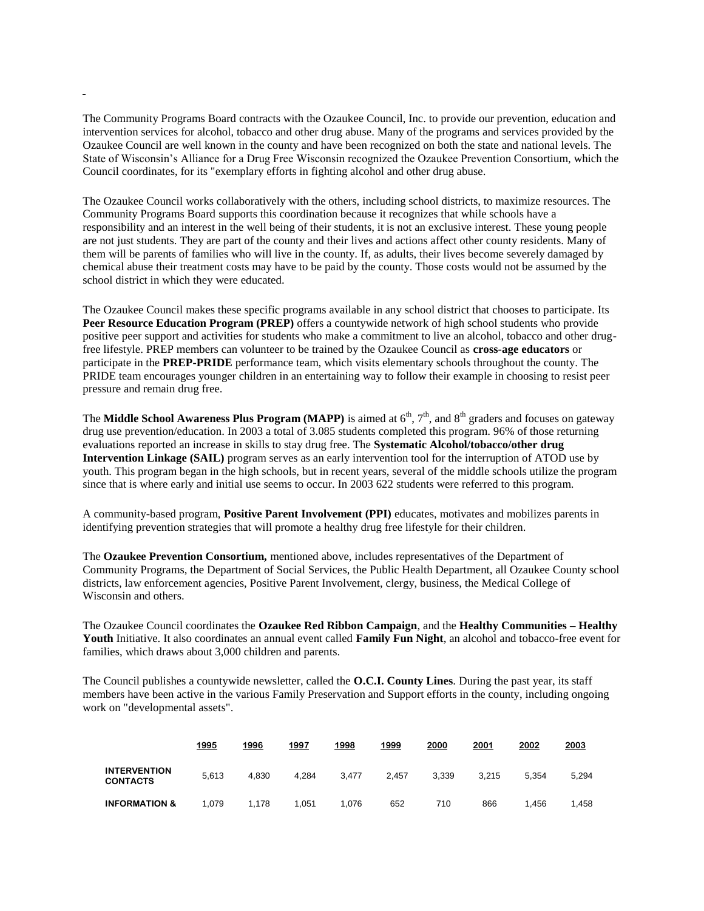The Community Programs Board contracts with the Ozaukee Council, Inc. to provide our prevention, education and intervention services for alcohol, tobacco and other drug abuse. Many of the programs and services provided by the Ozaukee Council are well known in the county and have been recognized on both the state and national levels. The State of Wisconsin's Alliance for a Drug Free Wisconsin recognized the Ozaukee Prevention Consortium, which the Council coordinates, for its "exemplary efforts in fighting alcohol and other drug abuse.

The Ozaukee Council works collaboratively with the others, including school districts, to maximize resources. The Community Programs Board supports this coordination because it recognizes that while schools have a responsibility and an interest in the well being of their students, it is not an exclusive interest. These young people are not just students. They are part of the county and their lives and actions affect other county residents. Many of them will be parents of families who will live in the county. If, as adults, their lives become severely damaged by chemical abuse their treatment costs may have to be paid by the county. Those costs would not be assumed by the school district in which they were educated.

The Ozaukee Council makes these specific programs available in any school district that chooses to participate. Its **Peer Resource Education Program (PREP)** offers a countywide network of high school students who provide positive peer support and activities for students who make a commitment to live an alcohol, tobacco and other drugfree lifestyle. PREP members can volunteer to be trained by the Ozaukee Council as **cross-age educators** or participate in the **PREP-PRIDE** performance team, which visits elementary schools throughout the county. The PRIDE team encourages younger children in an entertaining way to follow their example in choosing to resist peer pressure and remain drug free.

The **Middle School Awareness Plus Program (MAPP)** is aimed at  $6<sup>th</sup>$ ,  $7<sup>th</sup>$ , and  $8<sup>th</sup>$  graders and focuses on gateway drug use prevention/education. In 2003 a total of 3.085 students completed this program. 96% of those returning evaluations reported an increase in skills to stay drug free. The **Systematic Alcohol/tobacco/other drug Intervention Linkage (SAIL)** program serves as an early intervention tool for the interruption of ATOD use by youth. This program began in the high schools, but in recent years, several of the middle schools utilize the program since that is where early and initial use seems to occur. In 2003 622 students were referred to this program.

A community-based program, **Positive Parent Involvement (PPI)** educates, motivates and mobilizes parents in identifying prevention strategies that will promote a healthy drug free lifestyle for their children.

The **Ozaukee Prevention Consortium,** mentioned above, includes representatives of the Department of Community Programs, the Department of Social Services, the Public Health Department, all Ozaukee County school districts, law enforcement agencies, Positive Parent Involvement, clergy, business, the Medical College of Wisconsin and others.

The Ozaukee Council coordinates the **Ozaukee Red Ribbon Campaign**, and the **Healthy Communities – Healthy Youth** Initiative. It also coordinates an annual event called **Family Fun Night**, an alcohol and tobacco-free event for families, which draws about 3,000 children and parents.

The Council publishes a countywide newsletter, called the **O.C.I. County Lines**. During the past year, its staff members have been active in the various Family Preservation and Support efforts in the county, including ongoing work on "developmental assets".

|                                        | 1995  | 1996  | 1997  | 1998  | 1999  | 2000  | 2001  | 2002  | 2003  |
|----------------------------------------|-------|-------|-------|-------|-------|-------|-------|-------|-------|
| <b>INTERVENTION</b><br><b>CONTACTS</b> | 5.613 | 4.830 | 4.284 | 3.477 | 2.457 | 3.339 | 3.215 | 5.354 | 5.294 |
| <b>INFORMATION &amp;</b>               | 1,079 | 1.178 | 1.051 | 1.076 | 652   | 710   | 866   | .456  | .458  |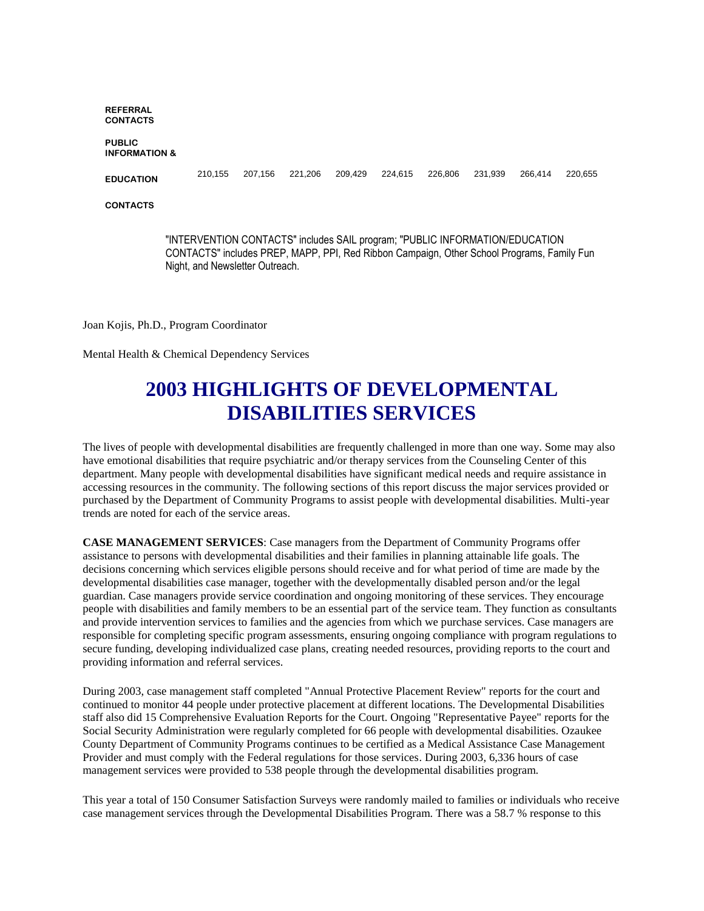**REFERRAL CONTACTS**

#### **PUBLIC INFORMATION &**

**EDUCATION**

210,155 207,156 221,206 209,429 224,615 226,806 231,939 266,414 220,655

**CONTACTS**

"INTERVENTION CONTACTS" includes SAIL program; "PUBLIC INFORMATION/EDUCATION CONTACTS" includes PREP, MAPP, PPI, Red Ribbon Campaign, Other School Programs, Family Fun Night, and Newsletter Outreach.

Joan Kojis, Ph.D., Program Coordinator

Mental Health & Chemical Dependency Services

## **2003 HIGHLIGHTS OF DEVELOPMENTAL DISABILITIES SERVICES**

The lives of people with developmental disabilities are frequently challenged in more than one way. Some may also have emotional disabilities that require psychiatric and/or therapy services from the Counseling Center of this department. Many people with developmental disabilities have significant medical needs and require assistance in accessing resources in the community. The following sections of this report discuss the major services provided or purchased by the Department of Community Programs to assist people with developmental disabilities. Multi-year trends are noted for each of the service areas.

**CASE MANAGEMENT SERVICES**: Case managers from the Department of Community Programs offer assistance to persons with developmental disabilities and their families in planning attainable life goals. The decisions concerning which services eligible persons should receive and for what period of time are made by the developmental disabilities case manager, together with the developmentally disabled person and/or the legal guardian. Case managers provide service coordination and ongoing monitoring of these services. They encourage people with disabilities and family members to be an essential part of the service team. They function as consultants and provide intervention services to families and the agencies from which we purchase services. Case managers are responsible for completing specific program assessments, ensuring ongoing compliance with program regulations to secure funding, developing individualized case plans, creating needed resources, providing reports to the court and providing information and referral services.

During 2003, case management staff completed "Annual Protective Placement Review" reports for the court and continued to monitor 44 people under protective placement at different locations. The Developmental Disabilities staff also did 15 Comprehensive Evaluation Reports for the Court. Ongoing "Representative Payee" reports for the Social Security Administration were regularly completed for 66 people with developmental disabilities. Ozaukee County Department of Community Programs continues to be certified as a Medical Assistance Case Management Provider and must comply with the Federal regulations for those services. During 2003, 6,336 hours of case management services were provided to 538 people through the developmental disabilities program.

This year a total of 150 Consumer Satisfaction Surveys were randomly mailed to families or individuals who receive case management services through the Developmental Disabilities Program. There was a 58.7 % response to this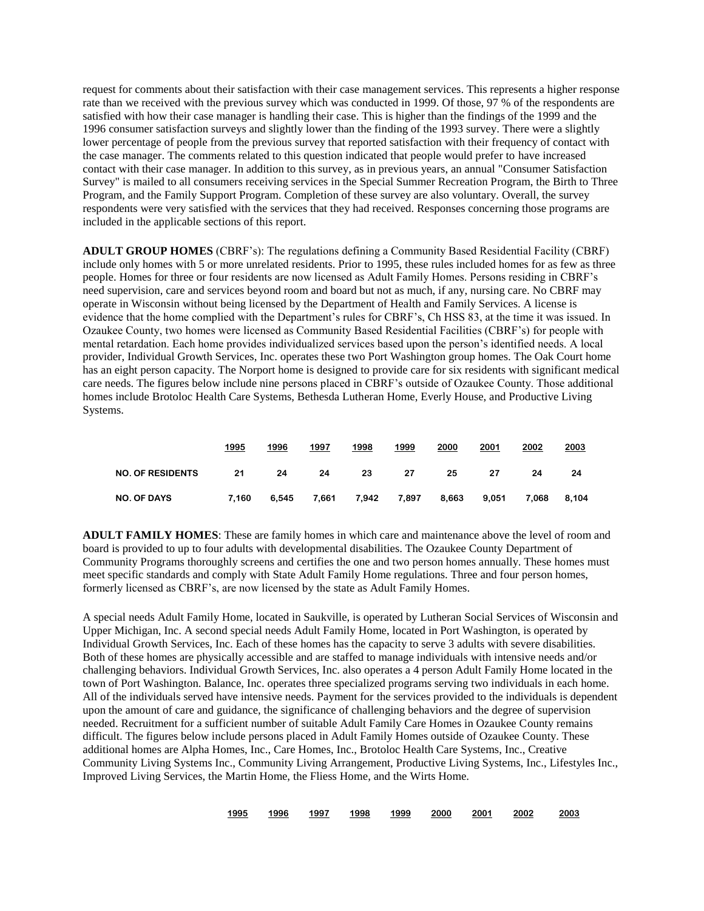request for comments about their satisfaction with their case management services. This represents a higher response rate than we received with the previous survey which was conducted in 1999. Of those, 97 % of the respondents are satisfied with how their case manager is handling their case. This is higher than the findings of the 1999 and the 1996 consumer satisfaction surveys and slightly lower than the finding of the 1993 survey. There were a slightly lower percentage of people from the previous survey that reported satisfaction with their frequency of contact with the case manager. The comments related to this question indicated that people would prefer to have increased contact with their case manager. In addition to this survey, as in previous years, an annual "Consumer Satisfaction Survey" is mailed to all consumers receiving services in the Special Summer Recreation Program, the Birth to Three Program, and the Family Support Program. Completion of these survey are also voluntary. Overall, the survey respondents were very satisfied with the services that they had received. Responses concerning those programs are included in the applicable sections of this report.

**ADULT GROUP HOMES** (CBRF's): The regulations defining a Community Based Residential Facility (CBRF) include only homes with 5 or more unrelated residents. Prior to 1995, these rules included homes for as few as three people. Homes for three or four residents are now licensed as Adult Family Homes. Persons residing in CBRF's need supervision, care and services beyond room and board but not as much, if any, nursing care. No CBRF may operate in Wisconsin without being licensed by the Department of Health and Family Services. A license is evidence that the home complied with the Department's rules for CBRF's, Ch HSS 83, at the time it was issued. In Ozaukee County, two homes were licensed as Community Based Residential Facilities (CBRF's) for people with mental retardation. Each home provides individualized services based upon the person's identified needs. A local provider, Individual Growth Services, Inc. operates these two Port Washington group homes. The Oak Court home has an eight person capacity. The Norport home is designed to provide care for six residents with significant medical care needs. The figures below include nine persons placed in CBRF's outside of Ozaukee County. Those additional homes include Brotoloc Health Care Systems, Bethesda Lutheran Home, Everly House, and Productive Living Systems.

|                         | 1995  | 1996  | 1997  | 1998  | 1999  | 2000  | 2001  | 2002  | 2003  |
|-------------------------|-------|-------|-------|-------|-------|-------|-------|-------|-------|
| <b>NO. OF RESIDENTS</b> | 21    | 24    | 24    | 23    | 27    | 25    | 27    | 24    | 24    |
| <b>NO. OF DAYS</b>      | 7.160 | 6.545 | 7,661 | 7,942 | 7,897 | 8,663 | 9,051 | 7.068 | 8.104 |

**ADULT FAMILY HOMES**: These are family homes in which care and maintenance above the level of room and board is provided to up to four adults with developmental disabilities. The Ozaukee County Department of Community Programs thoroughly screens and certifies the one and two person homes annually. These homes must meet specific standards and comply with State Adult Family Home regulations. Three and four person homes, formerly licensed as CBRF's, are now licensed by the state as Adult Family Homes.

A special needs Adult Family Home, located in Saukville, is operated by Lutheran Social Services of Wisconsin and Upper Michigan, Inc. A second special needs Adult Family Home, located in Port Washington, is operated by Individual Growth Services, Inc. Each of these homes has the capacity to serve 3 adults with severe disabilities. Both of these homes are physically accessible and are staffed to manage individuals with intensive needs and/or challenging behaviors. Individual Growth Services, Inc. also operates a 4 person Adult Family Home located in the town of Port Washington. Balance, Inc. operates three specialized programs serving two individuals in each home. All of the individuals served have intensive needs. Payment for the services provided to the individuals is dependent upon the amount of care and guidance, the significance of challenging behaviors and the degree of supervision needed. Recruitment for a sufficient number of suitable Adult Family Care Homes in Ozaukee County remains difficult. The figures below include persons placed in Adult Family Homes outside of Ozaukee County. These additional homes are Alpha Homes, Inc., Care Homes, Inc., Brotoloc Health Care Systems, Inc., Creative Community Living Systems Inc., Community Living Arrangement, Productive Living Systems, Inc., Lifestyles Inc., Improved Living Services, the Martin Home, the Fliess Home, and the Wirts Home.

|  | 1995 | 1996 | 1997 | 1998 | 1999 | 2000 | 2001 | 2002 | 2003 |
|--|------|------|------|------|------|------|------|------|------|
|--|------|------|------|------|------|------|------|------|------|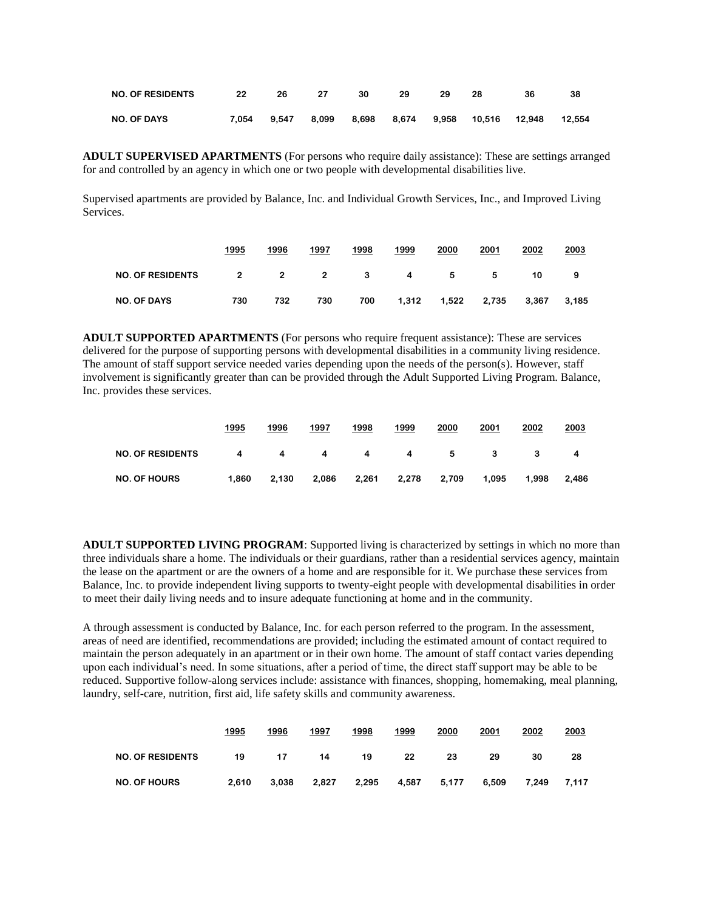| <b>NO. OF RESIDENTS</b> | -22 | -26 | - 27 | - 30 | - 29 | - 29 | - 28 | 36                                                       | -38 |
|-------------------------|-----|-----|------|------|------|------|------|----------------------------------------------------------|-----|
| <b>NO. OF DAYS</b>      |     |     |      |      |      |      |      | 7,054 9,547 8,099 8,698 8,674 9,958 10,516 12,948 12,554 |     |

**ADULT SUPERVISED APARTMENTS** (For persons who require daily assistance): These are settings arranged for and controlled by an agency in which one or two people with developmental disabilities live.

Supervised apartments are provided by Balance, Inc. and Individual Growth Services, Inc., and Improved Living Services.

|                         | 1995 | 1996 | 1997 | 1998 | 1999        | 2000              | 2001 | 2002  | 2003  |
|-------------------------|------|------|------|------|-------------|-------------------|------|-------|-------|
| <b>NO. OF RESIDENTS</b> |      |      |      |      | 2 2 2 3 4 5 |                   | - 5  | 10    | 9     |
| <b>NO. OF DAYS</b>      | 730  | 732  | 730  | 700  |             | 1,312 1,522 2,735 |      | 3.367 | 3,185 |

ADULT SUPPORTED APARTMENTS (For persons who require frequent assistance): These are services delivered for the purpose of supporting persons with developmental disabilities in a community living residence. The amount of staff support service needed varies depending upon the needs of the person(s). However, staff involvement is significantly greater than can be provided through the Adult Supported Living Program. Balance, Inc. provides these services.

|                         | 1995  | 1996  | 1997  | 1998  | 1999  | 2000  | 2001  | 2002  | 2003  |
|-------------------------|-------|-------|-------|-------|-------|-------|-------|-------|-------|
| <b>NO. OF RESIDENTS</b> | 4     | 4     | 4     | 4     | 4     | 5     | 3     |       | 4     |
| <b>NO. OF HOURS</b>     | 1.860 | 2.130 | 2.086 | 2.261 | 2.278 | 2,709 | 1.095 | 1.998 | 2.486 |

**ADULT SUPPORTED LIVING PROGRAM**: Supported living is characterized by settings in which no more than three individuals share a home. The individuals or their guardians, rather than a residential services agency, maintain the lease on the apartment or are the owners of a home and are responsible for it. We purchase these services from Balance, Inc. to provide independent living supports to twenty-eight people with developmental disabilities in order to meet their daily living needs and to insure adequate functioning at home and in the community.

A through assessment is conducted by Balance, Inc. for each person referred to the program. In the assessment, areas of need are identified, recommendations are provided; including the estimated amount of contact required to maintain the person adequately in an apartment or in their own home. The amount of staff contact varies depending upon each individual's need. In some situations, after a period of time, the direct staff support may be able to be reduced. Supportive follow-along services include: assistance with finances, shopping, homemaking, meal planning, laundry, self-care, nutrition, first aid, life safety skills and community awareness.

|                         | 1995  | 1996  | 1997  | 1998  | 1999  | 2000  | 2001  | 2002  | 2003  |
|-------------------------|-------|-------|-------|-------|-------|-------|-------|-------|-------|
| <b>NO. OF RESIDENTS</b> | 19    | 17    | 14    | 19    | 22    | 23    | 29    | 30    | 28    |
| <b>NO. OF HOURS</b>     | 2.610 | 3.038 | 2.827 | 2.295 | 4.587 | 5,177 | 6,509 | 7.249 | 7.117 |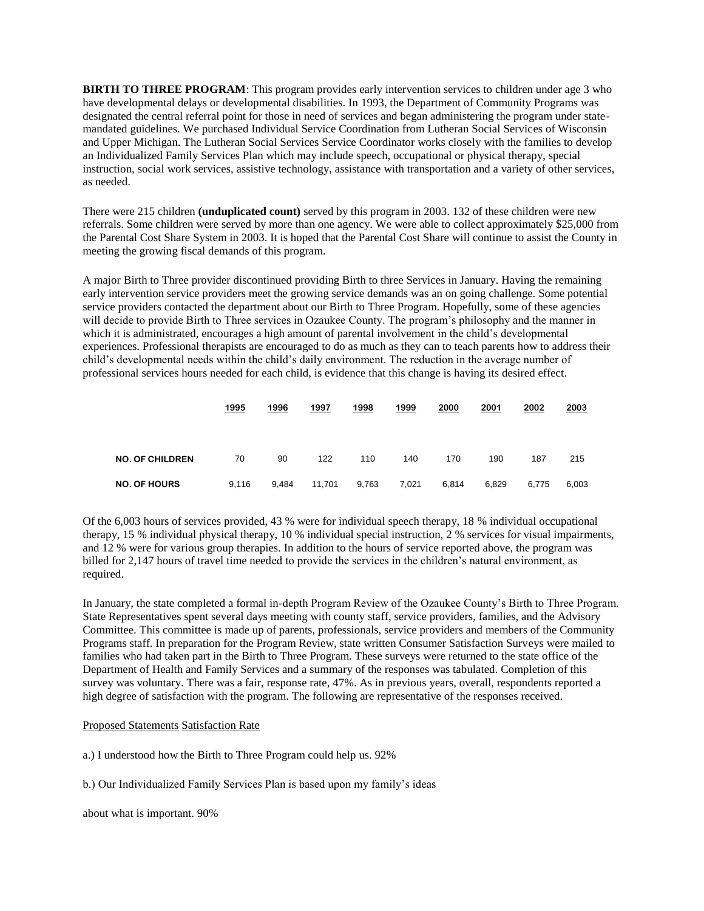**BIRTH TO THREE PROGRAM**: This program provides early intervention services to children under age 3 who have developmental delays or developmental disabilities. In 1993, the Department of Community Programs was designated the central referral point for those in need of services and began administering the program under statemandated guidelines. We purchased Individual Service Coordination from Lutheran Social Services of Wisconsin and Upper Michigan. The Lutheran Social Services Service Coordinator works closely with the families to develop an Individualized Family Services Plan which may include speech, occupational or physical therapy, special instruction, social work services, assistive technology, assistance with transportation and a variety of other services, as needed.

There were 215 children **(unduplicated count)** served by this program in 2003. 132 of these children were new referrals. Some children were served by more than one agency. We were able to collect approximately \$25,000 from the Parental Cost Share System in 2003. It is hoped that the Parental Cost Share will continue to assist the County in meeting the growing fiscal demands of this program.

A major Birth to Three provider discontinued providing Birth to three Services in January. Having the remaining early intervention service providers meet the growing service demands was an on going challenge. Some potential service providers contacted the department about our Birth to Three Program. Hopefully, some of these agencies will decide to provide Birth to Three services in Ozaukee County. The program's philosophy and the manner in which it is administrated, encourages a high amount of parental involvement in the child's developmental experiences. Professional therapists are encouraged to do as much as they can to teach parents how to address their child's developmental needs within the child's daily environment. The reduction in the average number of professional services hours needed for each child, is evidence that this change is having its desired effect.

|                        | 1995  | 1996  | 1997   | 1998  | 1999  | 2000  | 2001  | 2002  | 2003  |
|------------------------|-------|-------|--------|-------|-------|-------|-------|-------|-------|
|                        |       |       |        |       |       |       |       |       |       |
| <b>NO. OF CHILDREN</b> | 70    | 90    | 122    | 110   | 140   | 170   | 190   | 187   | 215   |
| <b>NO. OF HOURS</b>    | 9,116 | 9.484 | 11,701 | 9,763 | 7,021 | 6,814 | 6,829 | 6,775 | 6,003 |

Of the 6,003 hours of services provided, 43 % were for individual speech therapy, 18 % individual occupational therapy, 15 % individual physical therapy, 10 % individual special instruction, 2 % services for visual impairments, and 12 % were for various group therapies. In addition to the hours of service reported above, the program was billed for 2,147 hours of travel time needed to provide the services in the children's natural environment, as required.

In January, the state completed a formal in-depth Program Review of the Ozaukee County's Birth to Three Program. State Representatives spent several days meeting with county staff, service providers, families, and the Advisory Committee. This committee is made up of parents, professionals, service providers and members of the Community Programs staff. In preparation for the Program Review, state written Consumer Satisfaction Surveys were mailed to families who had taken part in the Birth to Three Program. These surveys were returned to the state office of the Department of Health and Family Services and a summary of the responses was tabulated. Completion of this survey was voluntary. There was a fair, response rate, 47%. As in previous years, overall, respondents reported a high degree of satisfaction with the program. The following are representative of the responses received.

#### Proposed Statements Satisfaction Rate

a.) I understood how the Birth to Three Program could help us. 92%

b.) Our Individualized Family Services Plan is based upon my family's ideas

about what is important. 90%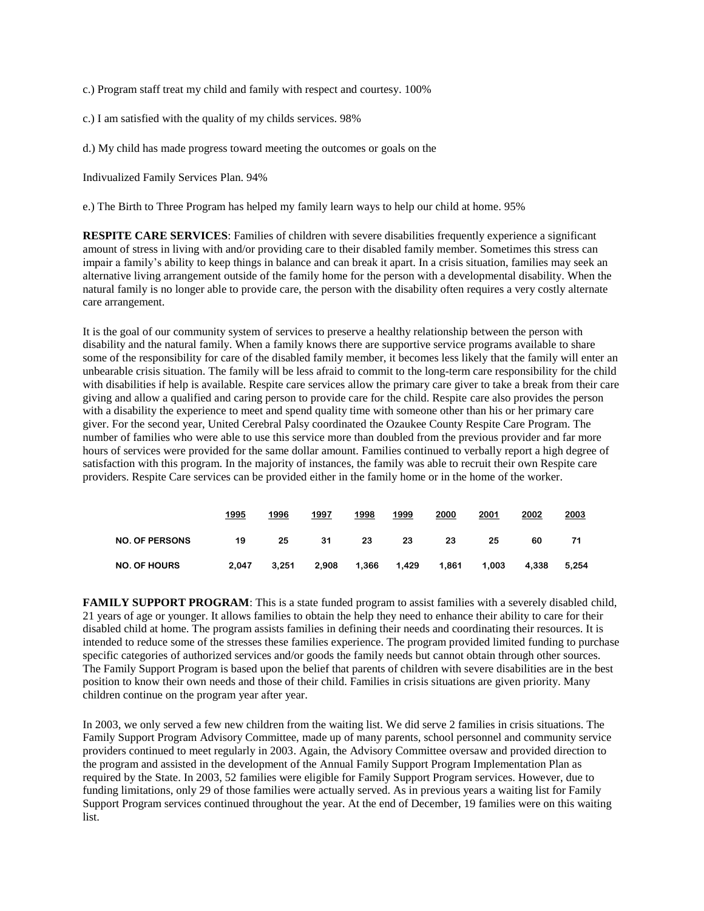c.) Program staff treat my child and family with respect and courtesy. 100%

- c.) I am satisfied with the quality of my childs services. 98%
- d.) My child has made progress toward meeting the outcomes or goals on the

Indivualized Family Services Plan. 94%

e.) The Birth to Three Program has helped my family learn ways to help our child at home. 95%

**RESPITE CARE SERVICES**: Families of children with severe disabilities frequently experience a significant amount of stress in living with and/or providing care to their disabled family member. Sometimes this stress can impair a family's ability to keep things in balance and can break it apart. In a crisis situation, families may seek an alternative living arrangement outside of the family home for the person with a developmental disability. When the natural family is no longer able to provide care, the person with the disability often requires a very costly alternate care arrangement.

It is the goal of our community system of services to preserve a healthy relationship between the person with disability and the natural family. When a family knows there are supportive service programs available to share some of the responsibility for care of the disabled family member, it becomes less likely that the family will enter an unbearable crisis situation. The family will be less afraid to commit to the long-term care responsibility for the child with disabilities if help is available. Respite care services allow the primary care giver to take a break from their care giving and allow a qualified and caring person to provide care for the child. Respite care also provides the person with a disability the experience to meet and spend quality time with someone other than his or her primary care giver. For the second year, United Cerebral Palsy coordinated the Ozaukee County Respite Care Program. The number of families who were able to use this service more than doubled from the previous provider and far more hours of services were provided for the same dollar amount. Families continued to verbally report a high degree of satisfaction with this program. In the majority of instances, the family was able to recruit their own Respite care providers. Respite Care services can be provided either in the family home or in the home of the worker.

|                       | 1995  | 1996  | 1997  | 1998  | 1999  | 2000  | 2001  | 2002  | 2003  |
|-----------------------|-------|-------|-------|-------|-------|-------|-------|-------|-------|
| <b>NO. OF PERSONS</b> | 19    | 25    | 31    | 23    | 23    | 23    | 25    | 60    |       |
| <b>NO. OF HOURS</b>   | 2.047 | 3,251 | 2,908 | 1,366 | 1,429 | 1,861 | 1,003 | 4,338 | 5,254 |

**FAMILY SUPPORT PROGRAM:** This is a state funded program to assist families with a severely disabled child, 21 years of age or younger. It allows families to obtain the help they need to enhance their ability to care for their disabled child at home. The program assists families in defining their needs and coordinating their resources. It is intended to reduce some of the stresses these families experience. The program provided limited funding to purchase specific categories of authorized services and/or goods the family needs but cannot obtain through other sources. The Family Support Program is based upon the belief that parents of children with severe disabilities are in the best position to know their own needs and those of their child. Families in crisis situations are given priority. Many children continue on the program year after year.

In 2003, we only served a few new children from the waiting list. We did serve 2 families in crisis situations. The Family Support Program Advisory Committee, made up of many parents, school personnel and community service providers continued to meet regularly in 2003. Again, the Advisory Committee oversaw and provided direction to the program and assisted in the development of the Annual Family Support Program Implementation Plan as required by the State. In 2003, 52 families were eligible for Family Support Program services. However, due to funding limitations, only 29 of those families were actually served. As in previous years a waiting list for Family Support Program services continued throughout the year. At the end of December, 19 families were on this waiting list.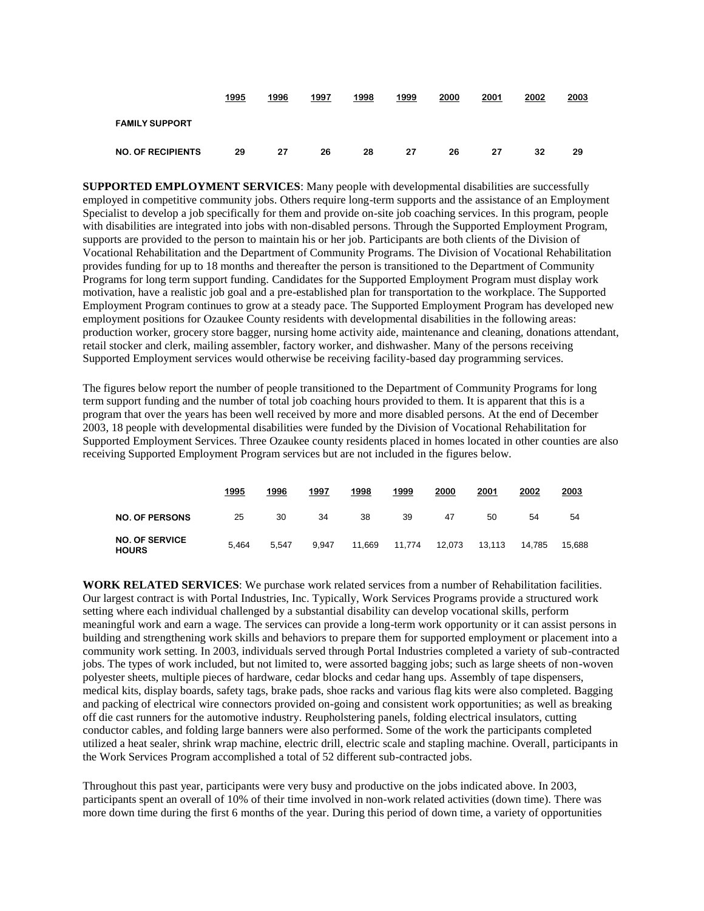|                          | 1995 | 1996 | 1997 | 1998 | 1999 | 2000 | 2001 | 2002 | 2003 |
|--------------------------|------|------|------|------|------|------|------|------|------|
| <b>FAMILY SUPPORT</b>    |      |      |      |      |      |      |      |      |      |
| <b>NO. OF RECIPIENTS</b> | 29   | 27   | 26   | 28   | 27   | 26   | 27   | 32   | 29   |

**SUPPORTED EMPLOYMENT SERVICES**: Many people with developmental disabilities are successfully employed in competitive community jobs. Others require long-term supports and the assistance of an Employment Specialist to develop a job specifically for them and provide on-site job coaching services. In this program, people with disabilities are integrated into jobs with non-disabled persons. Through the Supported Employment Program, supports are provided to the person to maintain his or her job. Participants are both clients of the Division of Vocational Rehabilitation and the Department of Community Programs. The Division of Vocational Rehabilitation provides funding for up to 18 months and thereafter the person is transitioned to the Department of Community Programs for long term support funding. Candidates for the Supported Employment Program must display work motivation, have a realistic job goal and a pre-established plan for transportation to the workplace. The Supported Employment Program continues to grow at a steady pace. The Supported Employment Program has developed new employment positions for Ozaukee County residents with developmental disabilities in the following areas: production worker, grocery store bagger, nursing home activity aide, maintenance and cleaning, donations attendant, retail stocker and clerk, mailing assembler, factory worker, and dishwasher. Many of the persons receiving Supported Employment services would otherwise be receiving facility-based day programming services.

The figures below report the number of people transitioned to the Department of Community Programs for long term support funding and the number of total job coaching hours provided to them. It is apparent that this is a program that over the years has been well received by more and more disabled persons. At the end of December 2003, 18 people with developmental disabilities were funded by the Division of Vocational Rehabilitation for Supported Employment Services. Three Ozaukee county residents placed in homes located in other counties are also receiving Supported Employment Program services but are not included in the figures below.

|                                       | 1995  | 1996  | 1997  | 1998   | 1999   | 2000   | 2001   | 2002   | 2003   |
|---------------------------------------|-------|-------|-------|--------|--------|--------|--------|--------|--------|
| <b>NO. OF PERSONS</b>                 | 25    | 30    | 34    | 38     | 39     | 47     | 50     | 54     | 54     |
| <b>NO. OF SERVICE</b><br><b>HOURS</b> | 5.464 | 5.547 | 9.947 | 11.669 | 11.774 | 12.073 | 13.113 | 14.785 | 15.688 |

**WORK RELATED SERVICES**: We purchase work related services from a number of Rehabilitation facilities. Our largest contract is with Portal Industries, Inc. Typically, Work Services Programs provide a structured work setting where each individual challenged by a substantial disability can develop vocational skills, perform meaningful work and earn a wage. The services can provide a long-term work opportunity or it can assist persons in building and strengthening work skills and behaviors to prepare them for supported employment or placement into a community work setting. In 2003, individuals served through Portal Industries completed a variety of sub-contracted jobs. The types of work included, but not limited to, were assorted bagging jobs; such as large sheets of non-woven polyester sheets, multiple pieces of hardware, cedar blocks and cedar hang ups. Assembly of tape dispensers, medical kits, display boards, safety tags, brake pads, shoe racks and various flag kits were also completed. Bagging and packing of electrical wire connectors provided on-going and consistent work opportunities; as well as breaking off die cast runners for the automotive industry. Reupholstering panels, folding electrical insulators, cutting conductor cables, and folding large banners were also performed. Some of the work the participants completed utilized a heat sealer, shrink wrap machine, electric drill, electric scale and stapling machine. Overall, participants in the Work Services Program accomplished a total of 52 different sub-contracted jobs.

Throughout this past year, participants were very busy and productive on the jobs indicated above. In 2003, participants spent an overall of 10% of their time involved in non-work related activities (down time). There was more down time during the first 6 months of the year. During this period of down time, a variety of opportunities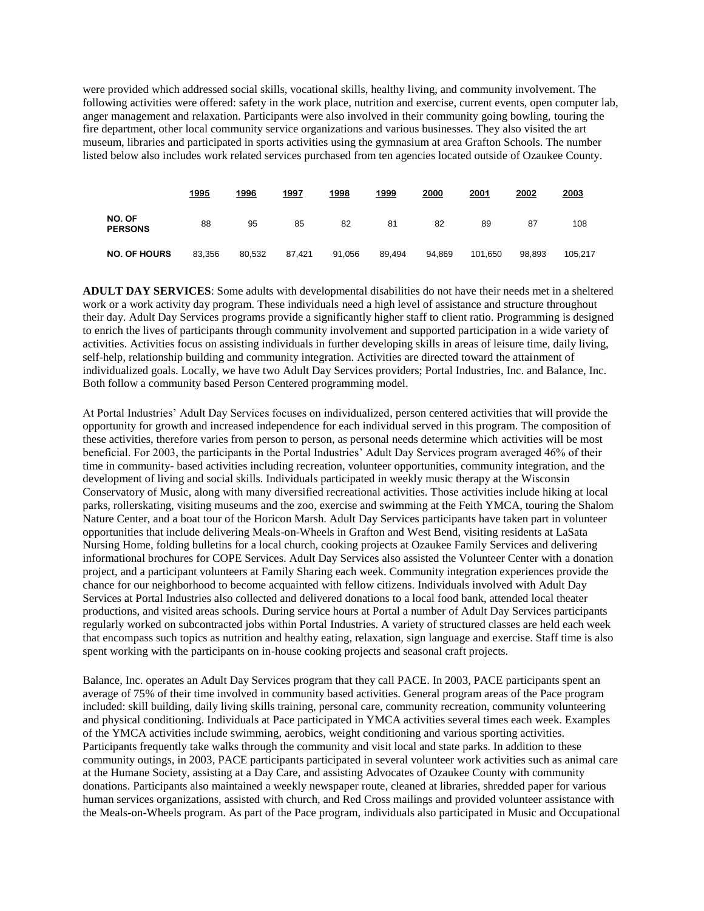were provided which addressed social skills, vocational skills, healthy living, and community involvement. The following activities were offered: safety in the work place, nutrition and exercise, current events, open computer lab, anger management and relaxation. Participants were also involved in their community going bowling, touring the fire department, other local community service organizations and various businesses. They also visited the art museum, libraries and participated in sports activities using the gymnasium at area Grafton Schools. The number listed below also includes work related services purchased from ten agencies located outside of Ozaukee County.

|                          | 1995   | 1996   | 1997   | 1998   | 1999   | 2000   | 2001    | 2002   | 2003    |
|--------------------------|--------|--------|--------|--------|--------|--------|---------|--------|---------|
| NO. OF<br><b>PERSONS</b> | 88     | 95     | 85     | 82     | 81     | 82     | 89      | 87     | 108     |
| <b>NO. OF HOURS</b>      | 83,356 | 80.532 | 87.421 | 91,056 | 89,494 | 94.869 | 101.650 | 98.893 | 105.217 |

**ADULT DAY SERVICES**: Some adults with developmental disabilities do not have their needs met in a sheltered work or a work activity day program. These individuals need a high level of assistance and structure throughout their day. Adult Day Services programs provide a significantly higher staff to client ratio. Programming is designed to enrich the lives of participants through community involvement and supported participation in a wide variety of activities. Activities focus on assisting individuals in further developing skills in areas of leisure time, daily living, self-help, relationship building and community integration. Activities are directed toward the attainment of individualized goals. Locally, we have two Adult Day Services providers; Portal Industries, Inc. and Balance, Inc. Both follow a community based Person Centered programming model.

At Portal Industries' Adult Day Services focuses on individualized, person centered activities that will provide the opportunity for growth and increased independence for each individual served in this program. The composition of these activities, therefore varies from person to person, as personal needs determine which activities will be most beneficial. For 2003, the participants in the Portal Industries' Adult Day Services program averaged 46% of their time in community- based activities including recreation, volunteer opportunities, community integration, and the development of living and social skills. Individuals participated in weekly music therapy at the Wisconsin Conservatory of Music, along with many diversified recreational activities. Those activities include hiking at local parks, rollerskating, visiting museums and the zoo, exercise and swimming at the Feith YMCA, touring the Shalom Nature Center, and a boat tour of the Horicon Marsh. Adult Day Services participants have taken part in volunteer opportunities that include delivering Meals-on-Wheels in Grafton and West Bend, visiting residents at LaSata Nursing Home, folding bulletins for a local church, cooking projects at Ozaukee Family Services and delivering informational brochures for COPE Services. Adult Day Services also assisted the Volunteer Center with a donation project, and a participant volunteers at Family Sharing each week. Community integration experiences provide the chance for our neighborhood to become acquainted with fellow citizens. Individuals involved with Adult Day Services at Portal Industries also collected and delivered donations to a local food bank, attended local theater productions, and visited areas schools. During service hours at Portal a number of Adult Day Services participants regularly worked on subcontracted jobs within Portal Industries. A variety of structured classes are held each week that encompass such topics as nutrition and healthy eating, relaxation, sign language and exercise. Staff time is also spent working with the participants on in-house cooking projects and seasonal craft projects.

Balance, Inc. operates an Adult Day Services program that they call PACE. In 2003, PACE participants spent an average of 75% of their time involved in community based activities. General program areas of the Pace program included: skill building, daily living skills training, personal care, community recreation, community volunteering and physical conditioning. Individuals at Pace participated in YMCA activities several times each week. Examples of the YMCA activities include swimming, aerobics, weight conditioning and various sporting activities. Participants frequently take walks through the community and visit local and state parks. In addition to these community outings, in 2003, PACE participants participated in several volunteer work activities such as animal care at the Humane Society, assisting at a Day Care, and assisting Advocates of Ozaukee County with community donations. Participants also maintained a weekly newspaper route, cleaned at libraries, shredded paper for various human services organizations, assisted with church, and Red Cross mailings and provided volunteer assistance with the Meals-on-Wheels program. As part of the Pace program, individuals also participated in Music and Occupational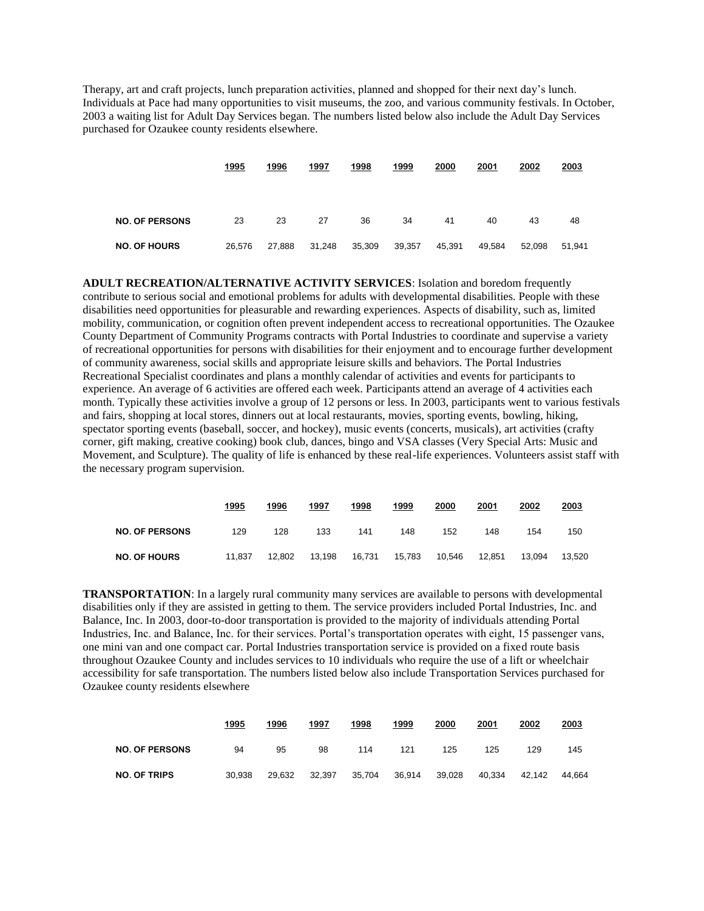Therapy, art and craft projects, lunch preparation activities, planned and shopped for their next day's lunch. Individuals at Pace had many opportunities to visit museums, the zoo, and various community festivals. In October, 2003 a waiting list for Adult Day Services began. The numbers listed below also include the Adult Day Services purchased for Ozaukee county residents elsewhere.

|                       | 1995   | 1996   | 1997   | 1998   | 1999   | 2000   | 2001   | 2002   | 2003   |
|-----------------------|--------|--------|--------|--------|--------|--------|--------|--------|--------|
| <b>NO. OF PERSONS</b> | 23     | 23     | 27     | 36     | 34     | 41     | 40     | 43     | 48     |
| <b>NO. OF HOURS</b>   | 26,576 | 27,888 | 31,248 | 35,309 | 39,357 | 45,391 | 49,584 | 52.098 | 51.941 |

**ADULT RECREATION/ALTERNATIVE ACTIVITY SERVICES**: Isolation and boredom frequently contribute to serious social and emotional problems for adults with developmental disabilities. People with these disabilities need opportunities for pleasurable and rewarding experiences. Aspects of disability, such as, limited mobility, communication, or cognition often prevent independent access to recreational opportunities. The Ozaukee County Department of Community Programs contracts with Portal Industries to coordinate and supervise a variety of recreational opportunities for persons with disabilities for their enjoyment and to encourage further development of community awareness, social skills and appropriate leisure skills and behaviors. The Portal Industries Recreational Specialist coordinates and plans a monthly calendar of activities and events for participants to experience. An average of 6 activities are offered each week. Participants attend an average of 4 activities each month. Typically these activities involve a group of 12 persons or less. In 2003, participants went to various festivals and fairs, shopping at local stores, dinners out at local restaurants, movies, sporting events, bowling, hiking, spectator sporting events (baseball, soccer, and hockey), music events (concerts, musicals), art activities (crafty corner, gift making, creative cooking) book club, dances, bingo and VSA classes (Very Special Arts: Music and Movement, and Sculpture). The quality of life is enhanced by these real-life experiences. Volunteers assist staff with the necessary program supervision.

|                       | 1995   | 1996   | 1997   | 1998   | 1999   | 2000   | 2001   | 2002   | 2003   |
|-----------------------|--------|--------|--------|--------|--------|--------|--------|--------|--------|
| <b>NO. OF PERSONS</b> | 129    | 128    | 133    | 141    | 148    | 152    | 148    | 154    | 150    |
| <b>NO. OF HOURS</b>   | 11.837 | 12.802 | 13.198 | 16.731 | 15.783 | 10.546 | 12.851 | 13.094 | 13.520 |

**TRANSPORTATION**: In a largely rural community many services are available to persons with developmental disabilities only if they are assisted in getting to them. The service providers included Portal Industries, Inc. and Balance, Inc. In 2003, door-to-door transportation is provided to the majority of individuals attending Portal Industries, Inc. and Balance, Inc. for their services. Portal's transportation operates with eight, 15 passenger vans, one mini van and one compact car. Portal Industries transportation service is provided on a fixed route basis throughout Ozaukee County and includes services to 10 individuals who require the use of a lift or wheelchair accessibility for safe transportation. The numbers listed below also include Transportation Services purchased for Ozaukee county residents elsewhere

|                       | 1995   | 1996   | 1997   | 1998   | 1999   | 2000   | 2001   | 2002   | 2003   |
|-----------------------|--------|--------|--------|--------|--------|--------|--------|--------|--------|
| <b>NO. OF PERSONS</b> | 94     | 95     | 98     | 114    | 121    | 125    | 125    | 129    | 145    |
| <b>NO. OF TRIPS</b>   | 30.938 | 29.632 | 32.397 | 35,704 | 36.914 | 39.028 | 40.334 | 42.142 | 44.664 |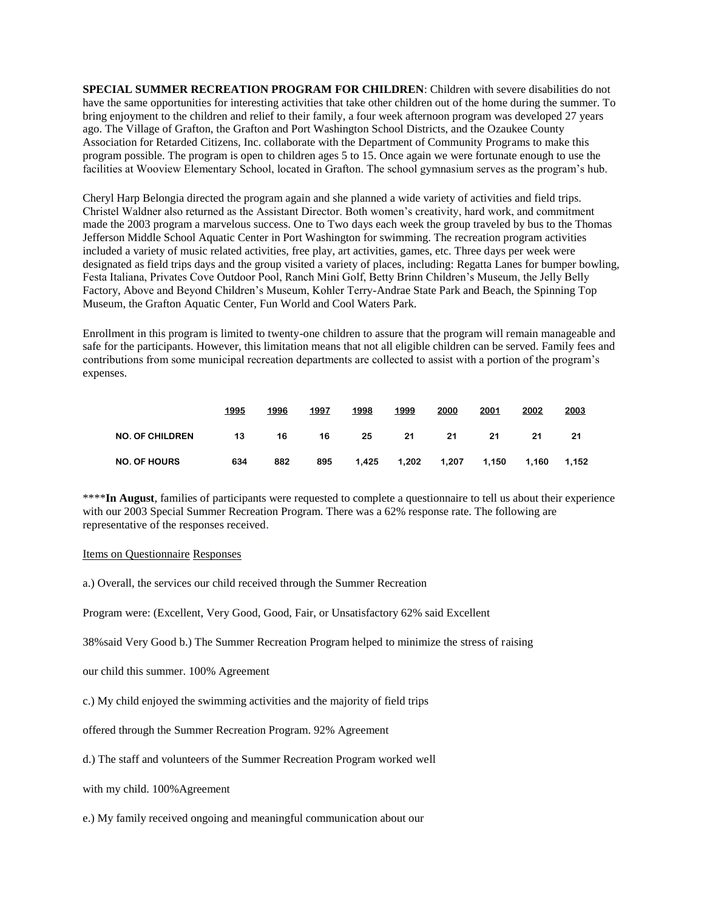**SPECIAL SUMMER RECREATION PROGRAM FOR CHILDREN**: Children with severe disabilities do not have the same opportunities for interesting activities that take other children out of the home during the summer. To bring enjoyment to the children and relief to their family, a four week afternoon program was developed 27 years ago. The Village of Grafton, the Grafton and Port Washington School Districts, and the Ozaukee County Association for Retarded Citizens, Inc. collaborate with the Department of Community Programs to make this program possible. The program is open to children ages 5 to 15. Once again we were fortunate enough to use the facilities at Wooview Elementary School, located in Grafton. The school gymnasium serves as the program's hub.

Cheryl Harp Belongia directed the program again and she planned a wide variety of activities and field trips. Christel Waldner also returned as the Assistant Director. Both women's creativity, hard work, and commitment made the 2003 program a marvelous success. One to Two days each week the group traveled by bus to the Thomas Jefferson Middle School Aquatic Center in Port Washington for swimming. The recreation program activities included a variety of music related activities, free play, art activities, games, etc. Three days per week were designated as field trips days and the group visited a variety of places, including: Regatta Lanes for bumper bowling, Festa Italiana, Privates Cove Outdoor Pool, Ranch Mini Golf, Betty Brinn Children's Museum, the Jelly Belly Factory, Above and Beyond Children's Museum, Kohler Terry-Andrae State Park and Beach, the Spinning Top Museum, the Grafton Aquatic Center, Fun World and Cool Waters Park.

Enrollment in this program is limited to twenty-one children to assure that the program will remain manageable and safe for the participants. However, this limitation means that not all eligible children can be served. Family fees and contributions from some municipal recreation departments are collected to assist with a portion of the program's expenses.

|                        | 1995 | 1996 | 1997 | 1998  | 1999  | 2000  | 2001  | 2002  | 2003  |
|------------------------|------|------|------|-------|-------|-------|-------|-------|-------|
| <b>NO. OF CHILDREN</b> | 13   | 16   | 16   | 25    | 21    | 21    | 21    | 21    | 21    |
| <b>NO. OF HOURS</b>    | 634  | 882  | 895  | 1.425 | 1.202 | 1.207 | 1.150 | 1.160 | 1.152 |

\*\*\*\***In August**, families of participants were requested to complete a questionnaire to tell us about their experience with our 2003 Special Summer Recreation Program. There was a 62% response rate. The following are representative of the responses received.

#### Items on Questionnaire Responses

a.) Overall, the services our child received through the Summer Recreation

Program were: (Excellent, Very Good, Good, Fair, or Unsatisfactory 62% said Excellent

38%said Very Good b.) The Summer Recreation Program helped to minimize the stress of raising

our child this summer. 100% Agreement

c.) My child enjoyed the swimming activities and the majority of field trips

offered through the Summer Recreation Program. 92% Agreement

d.) The staff and volunteers of the Summer Recreation Program worked well

with my child. 100%Agreement

e.) My family received ongoing and meaningful communication about our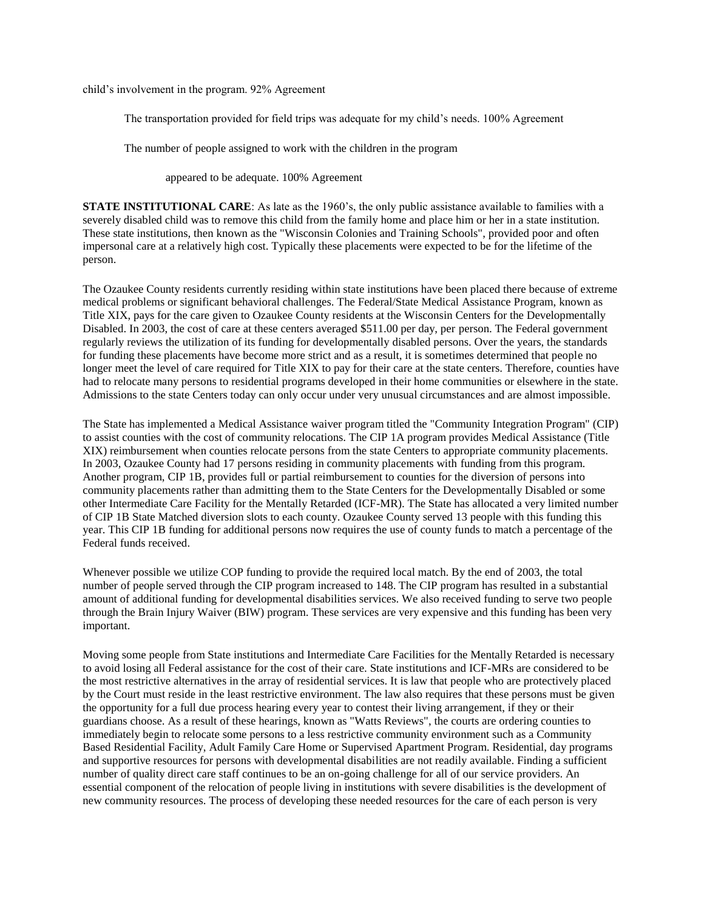child's involvement in the program. 92% Agreement

The transportation provided for field trips was adequate for my child's needs. 100% Agreement

The number of people assigned to work with the children in the program

appeared to be adequate. 100% Agreement

**STATE INSTITUTIONAL CARE:** As late as the 1960's, the only public assistance available to families with a severely disabled child was to remove this child from the family home and place him or her in a state institution. These state institutions, then known as the "Wisconsin Colonies and Training Schools", provided poor and often impersonal care at a relatively high cost. Typically these placements were expected to be for the lifetime of the person.

The Ozaukee County residents currently residing within state institutions have been placed there because of extreme medical problems or significant behavioral challenges. The Federal/State Medical Assistance Program, known as Title XIX, pays for the care given to Ozaukee County residents at the Wisconsin Centers for the Developmentally Disabled. In 2003, the cost of care at these centers averaged \$511.00 per day, per person. The Federal government regularly reviews the utilization of its funding for developmentally disabled persons. Over the years, the standards for funding these placements have become more strict and as a result, it is sometimes determined that people no longer meet the level of care required for Title XIX to pay for their care at the state centers. Therefore, counties have had to relocate many persons to residential programs developed in their home communities or elsewhere in the state. Admissions to the state Centers today can only occur under very unusual circumstances and are almost impossible.

The State has implemented a Medical Assistance waiver program titled the "Community Integration Program" (CIP) to assist counties with the cost of community relocations. The CIP 1A program provides Medical Assistance (Title XIX) reimbursement when counties relocate persons from the state Centers to appropriate community placements. In 2003, Ozaukee County had 17 persons residing in community placements with funding from this program. Another program, CIP 1B, provides full or partial reimbursement to counties for the diversion of persons into community placements rather than admitting them to the State Centers for the Developmentally Disabled or some other Intermediate Care Facility for the Mentally Retarded (ICF-MR). The State has allocated a very limited number of CIP 1B State Matched diversion slots to each county. Ozaukee County served 13 people with this funding this year. This CIP 1B funding for additional persons now requires the use of county funds to match a percentage of the Federal funds received.

Whenever possible we utilize COP funding to provide the required local match. By the end of 2003, the total number of people served through the CIP program increased to 148. The CIP program has resulted in a substantial amount of additional funding for developmental disabilities services. We also received funding to serve two people through the Brain Injury Waiver (BIW) program. These services are very expensive and this funding has been very important.

Moving some people from State institutions and Intermediate Care Facilities for the Mentally Retarded is necessary to avoid losing all Federal assistance for the cost of their care. State institutions and ICF-MRs are considered to be the most restrictive alternatives in the array of residential services. It is law that people who are protectively placed by the Court must reside in the least restrictive environment. The law also requires that these persons must be given the opportunity for a full due process hearing every year to contest their living arrangement, if they or their guardians choose. As a result of these hearings, known as "Watts Reviews", the courts are ordering counties to immediately begin to relocate some persons to a less restrictive community environment such as a Community Based Residential Facility, Adult Family Care Home or Supervised Apartment Program. Residential, day programs and supportive resources for persons with developmental disabilities are not readily available. Finding a sufficient number of quality direct care staff continues to be an on-going challenge for all of our service providers. An essential component of the relocation of people living in institutions with severe disabilities is the development of new community resources. The process of developing these needed resources for the care of each person is very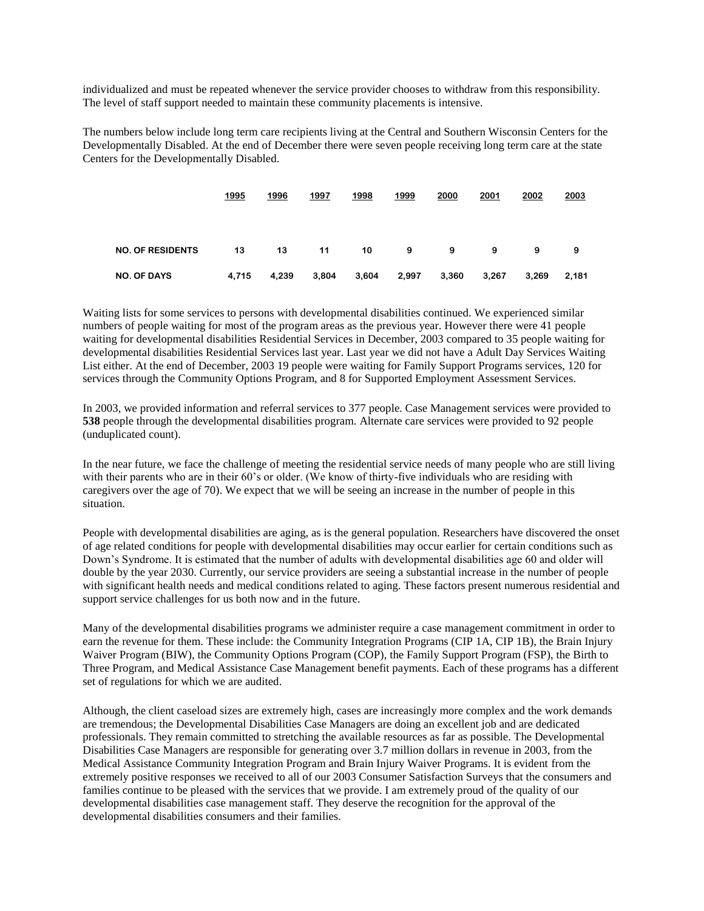individualized and must be repeated whenever the service provider chooses to withdraw from this responsibility. The level of staff support needed to maintain these community placements is intensive.

The numbers below include long term care recipients living at the Central and Southern Wisconsin Centers for the Developmentally Disabled. At the end of December there were seven people receiving long term care at the state Centers for the Developmentally Disabled.

|                         | 1995  | 1996  | 1997  | 1998  | 1999  | 2000  | 2001  | 2002  | 2003  |
|-------------------------|-------|-------|-------|-------|-------|-------|-------|-------|-------|
| <b>NO. OF RESIDENTS</b> | 13    | 13    | 11    | 10    | 9     | 9     | 9     | 9     | 9     |
| <b>NO. OF DAYS</b>      | 4,715 | 4,239 | 3,804 | 3,604 | 2,997 | 3,360 | 3,267 | 3,269 | 2,181 |

Waiting lists for some services to persons with developmental disabilities continued. We experienced similar numbers of people waiting for most of the program areas as the previous year. However there were 41 people waiting for developmental disabilities Residential Services in December, 2003 compared to 35 people waiting for developmental disabilities Residential Services last year. Last year we did not have a Adult Day Services Waiting List either. At the end of December, 2003 19 people were waiting for Family Support Programs services, 120 for services through the Community Options Program, and 8 for Supported Employment Assessment Services.

In 2003, we provided information and referral services to 377 people. Case Management services were provided to **538** people through the developmental disabilities program. Alternate care services were provided to 92 people (unduplicated count).

In the near future, we face the challenge of meeting the residential service needs of many people who are still living with their parents who are in their 60's or older. (We know of thirty-five individuals who are residing with caregivers over the age of 70). We expect that we will be seeing an increase in the number of people in this situation.

People with developmental disabilities are aging, as is the general population. Researchers have discovered the onset of age related conditions for people with developmental disabilities may occur earlier for certain conditions such as Down's Syndrome. It is estimated that the number of adults with developmental disabilities age 60 and older will double by the year 2030. Currently, our service providers are seeing a substantial increase in the number of people with significant health needs and medical conditions related to aging. These factors present numerous residential and support service challenges for us both now and in the future.

Many of the developmental disabilities programs we administer require a case management commitment in order to earn the revenue for them. These include: the Community Integration Programs (CIP 1A, CIP 1B), the Brain Injury Waiver Program (BIW), the Community Options Program (COP), the Family Support Program (FSP), the Birth to Three Program, and Medical Assistance Case Management benefit payments. Each of these programs has a different set of regulations for which we are audited.

Although, the client caseload sizes are extremely high, cases are increasingly more complex and the work demands are tremendous; the Developmental Disabilities Case Managers are doing an excellent job and are dedicated professionals. They remain committed to stretching the available resources as far as possible. The Developmental Disabilities Case Managers are responsible for generating over 3.7 million dollars in revenue in 2003, from the Medical Assistance Community Integration Program and Brain Injury Waiver Programs. It is evident from the extremely positive responses we received to all of our 2003 Consumer Satisfaction Surveys that the consumers and families continue to be pleased with the services that we provide. I am extremely proud of the quality of our developmental disabilities case management staff. They deserve the recognition for the approval of the developmental disabilities consumers and their families.